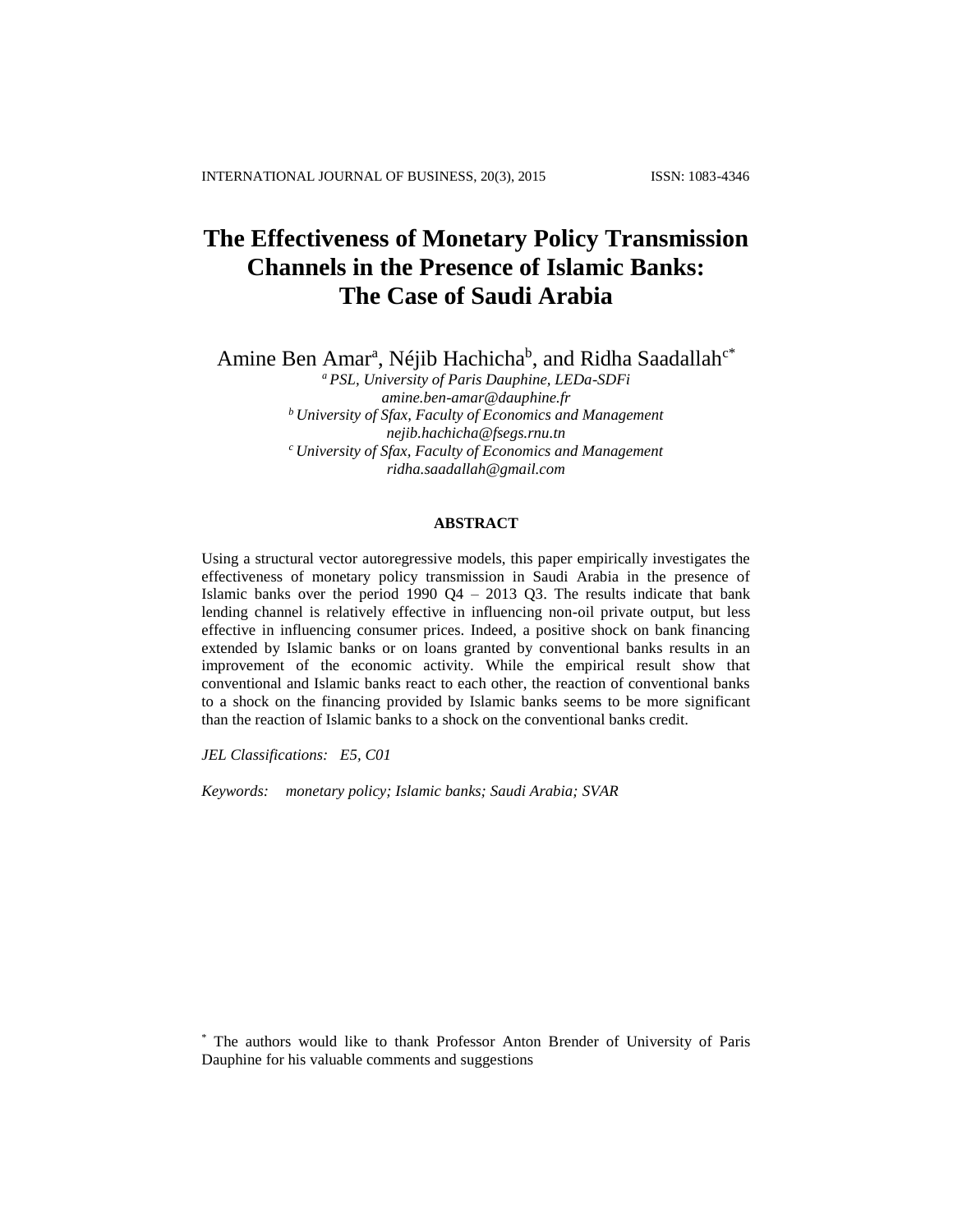# **The Effectiveness of Monetary Policy Transmission Channels in the Presence of Islamic Banks: The Case of Saudi Arabia**

Amine Ben Amar<sup>a</sup>, Néjib Hachicha<sup>b</sup>, and Ridha Saadallah<sup>c\*</sup>

*<sup>a</sup> PSL, University of Paris Dauphine, LEDa-SDFi [amine.ben-amar@dauphine.fr](mailto:amine.ben-amar@dauphine.fr) <sup>b</sup> University of Sfax, Faculty of Economics and Management [nejib.hachicha@fsegs.rnu.tn](mailto:nejib.hachicha@fsegs.rnu.tn) <sup>c</sup> University of Sfax, Faculty of Economics and Management [ridha.saadallah@gmail.com](mailto:ridha.saadallah@gmail.com)*

# **ABSTRACT**

Using a structural vector autoregressive models, this paper empirically investigates the effectiveness of monetary policy transmission in Saudi Arabia in the presence of Islamic banks over the period  $1990 \text{ }$  Q4 – 2013 Q3. The results indicate that bank lending channel is relatively effective in influencing non-oil private output, but less effective in influencing consumer prices. Indeed, a positive shock on bank financing extended by Islamic banks or on loans granted by conventional banks results in an improvement of the economic activity. While the empirical result show that conventional and Islamic banks react to each other, the reaction of conventional banks to a shock on the financing provided by Islamic banks seems to be more significant than the reaction of Islamic banks to a shock on the conventional banks credit.

*JEL Classifications: E5, C01* 

*Keywords: monetary policy; Islamic banks; Saudi Arabia; SVAR* 

\* The authors would like to thank Professor Anton Brender of University of Paris Dauphine for his valuable comments and suggestions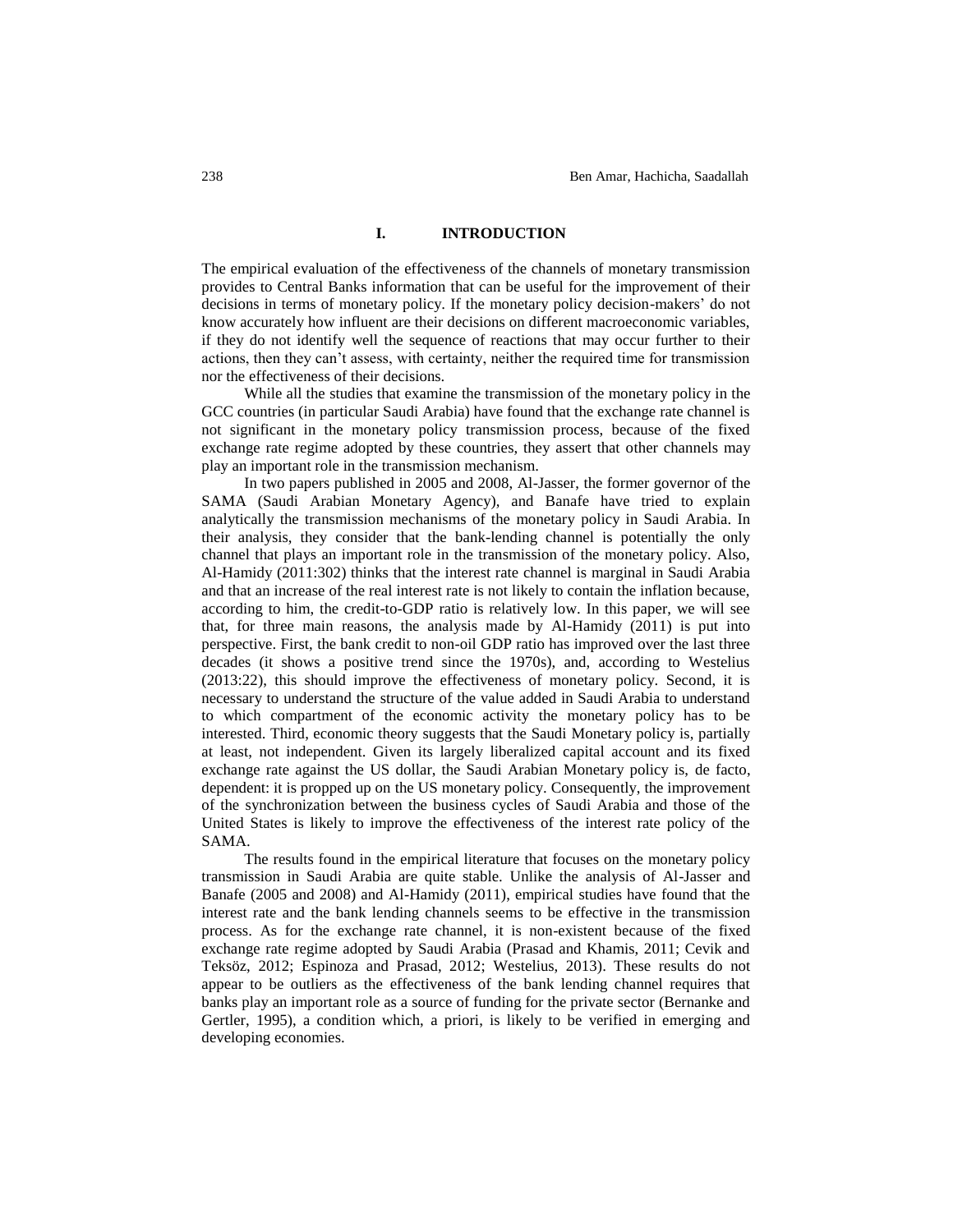## **I. INTRODUCTION**

The empirical evaluation of the effectiveness of the channels of monetary transmission provides to Central Banks information that can be useful for the improvement of their decisions in terms of monetary policy. If the monetary policy decision-makers' do not know accurately how influent are their decisions on different macroeconomic variables, if they do not identify well the sequence of reactions that may occur further to their actions, then they can't assess, with certainty, neither the required time for transmission nor the effectiveness of their decisions.

While all the studies that examine the transmission of the monetary policy in the GCC countries (in particular Saudi Arabia) have found that the exchange rate channel is not significant in the monetary policy transmission process, because of the fixed exchange rate regime adopted by these countries, they assert that other channels may play an important role in the transmission mechanism.

In two papers published in 2005 and 2008, Al-Jasser, the former governor of the SAMA (Saudi Arabian Monetary Agency), and Banafe have tried to explain analytically the transmission mechanisms of the monetary policy in Saudi Arabia. In their analysis, they consider that the bank-lending channel is potentially the only channel that plays an important role in the transmission of the monetary policy. Also, Al-Hamidy (2011:302) thinks that the interest rate channel is marginal in Saudi Arabia and that an increase of the real interest rate is not likely to contain the inflation because, according to him, the credit-to-GDP ratio is relatively low. In this paper, we will see that, for three main reasons, the analysis made by Al-Hamidy (2011) is put into perspective. First, the bank credit to non-oil GDP ratio has improved over the last three decades (it shows a positive trend since the 1970s), and, according to Westelius (2013:22), this should improve the effectiveness of monetary policy. Second, it is necessary to understand the structure of the value added in Saudi Arabia to understand to which compartment of the economic activity the monetary policy has to be interested. Third, economic theory suggests that the Saudi Monetary policy is, partially at least, not independent. Given its largely liberalized capital account and its fixed exchange rate against the US dollar, the Saudi Arabian Monetary policy is, de facto, dependent: it is propped up on the US monetary policy. Consequently, the improvement of the synchronization between the business cycles of Saudi Arabia and those of the United States is likely to improve the effectiveness of the interest rate policy of the SAMA.

The results found in the empirical literature that focuses on the monetary policy transmission in Saudi Arabia are quite stable. Unlike the analysis of Al-Jasser and Banafe (2005 and 2008) and Al-Hamidy (2011), empirical studies have found that the interest rate and the bank lending channels seems to be effective in the transmission process. As for the exchange rate channel, it is non-existent because of the fixed exchange rate regime adopted by Saudi Arabia (Prasad and Khamis, 2011; Cevik and Teksöz, 2012; Espinoza and Prasad, 2012; Westelius, 2013). These results do not appear to be outliers as the effectiveness of the bank lending channel requires that banks play an important role as a source of funding for the private sector (Bernanke and Gertler, 1995), a condition which, a priori, is likely to be verified in emerging and developing economies.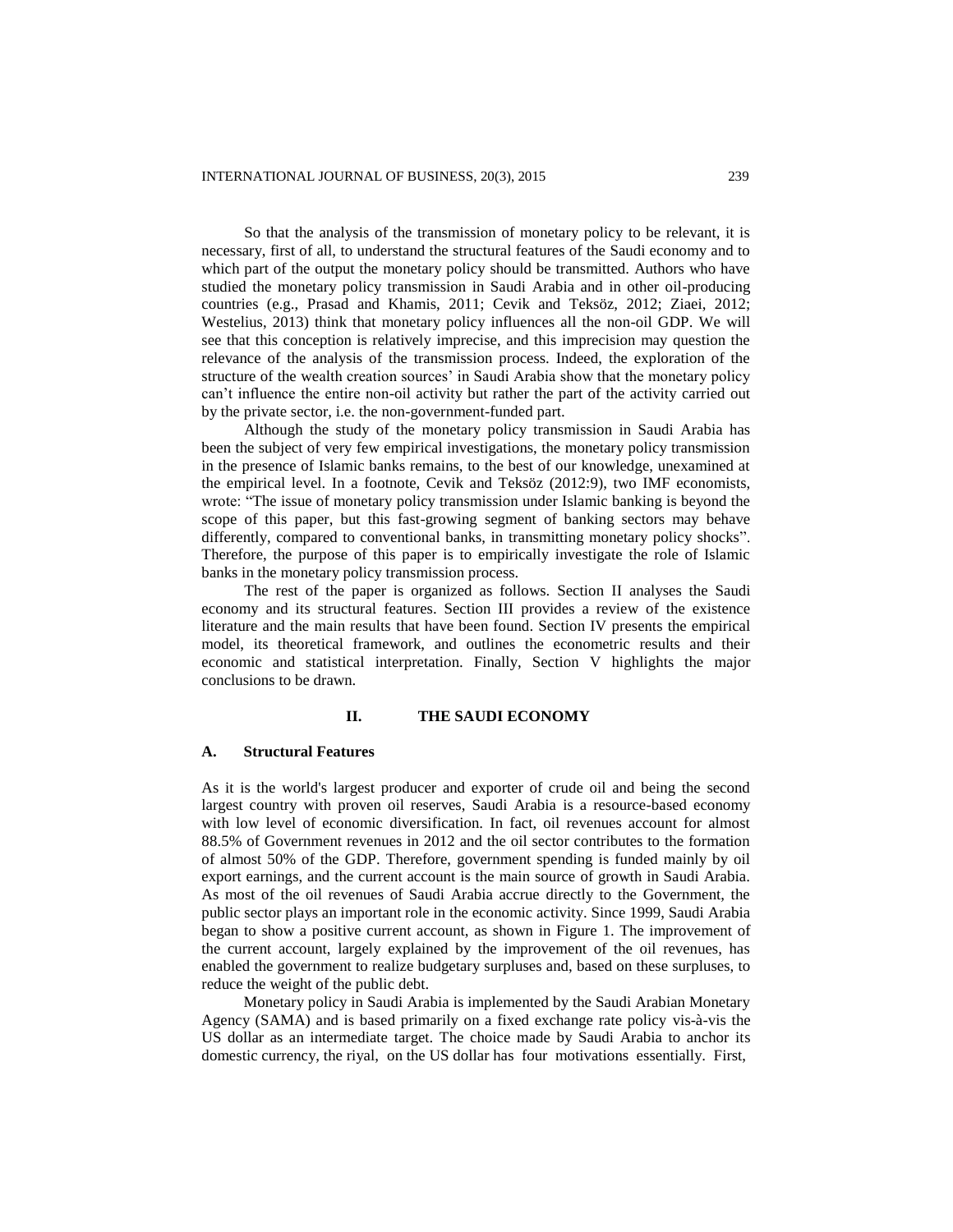So that the analysis of the transmission of monetary policy to be relevant, it is necessary, first of all, to understand the structural features of the Saudi economy and to which part of the output the monetary policy should be transmitted. Authors who have studied the monetary policy transmission in Saudi Arabia and in other oil-producing countries (e.g., Prasad and Khamis, 2011; Cevik and Teksöz, 2012; Ziaei, 2012; Westelius, 2013) think that monetary policy influences all the non-oil GDP. We will see that this conception is relatively imprecise, and this imprecision may question the relevance of the analysis of the transmission process. Indeed, the exploration of the structure of the wealth creation sources' in Saudi Arabia show that the monetary policy can't influence the entire non-oil activity but rather the part of the activity carried out by the private sector, i.e. the non-government-funded part.

Although the study of the monetary policy transmission in Saudi Arabia has been the subject of very few empirical investigations, the monetary policy transmission in the presence of Islamic banks remains, to the best of our knowledge, unexamined at the empirical level. In a footnote, Cevik and Teksöz (2012:9), two IMF economists, wrote: "The issue of monetary policy transmission under Islamic banking is beyond the scope of this paper, but this fast-growing segment of banking sectors may behave differently, compared to conventional banks, in transmitting monetary policy shocks". Therefore, the purpose of this paper is to empirically investigate the role of Islamic banks in the monetary policy transmission process.

The rest of the paper is organized as follows. Section II analyses the Saudi economy and its structural features. Section III provides a review of the existence literature and the main results that have been found. Section IV presents the empirical model, its theoretical framework, and outlines the econometric results and their economic and statistical interpretation. Finally, Section V highlights the major conclusions to be drawn.

## **II. THE SAUDI ECONOMY**

## **A. Structural Features**

As it is the world's largest producer and exporter of crude oil and being the second largest country with proven oil reserves, Saudi Arabia is a resource-based economy with low level of economic diversification. In fact, oil revenues account for almost 88.5% of Government revenues in 2012 and the oil sector contributes to the formation of almost 50% of the GDP. Therefore, government spending is funded mainly by oil export earnings, and the current account is the main source of growth in Saudi Arabia. As most of the oil revenues of Saudi Arabia accrue directly to the Government, the public sector plays an important role in the economic activity. Since 1999, Saudi Arabia began to show a positive current account, as shown in Figure 1. The improvement of the current account, largely explained by the improvement of the oil revenues, has enabled the government to realize budgetary surpluses and, based on these surpluses, to reduce the weight of the public debt.

Monetary policy in Saudi Arabia is implemented by the Saudi Arabian Monetary Agency (SAMA) and is based primarily on a fixed exchange rate policy vis-à-vis the US dollar as an intermediate target. The choice made by Saudi Arabia to anchor its domestic currency, the riyal, on the US dollar has four motivations essentially. First,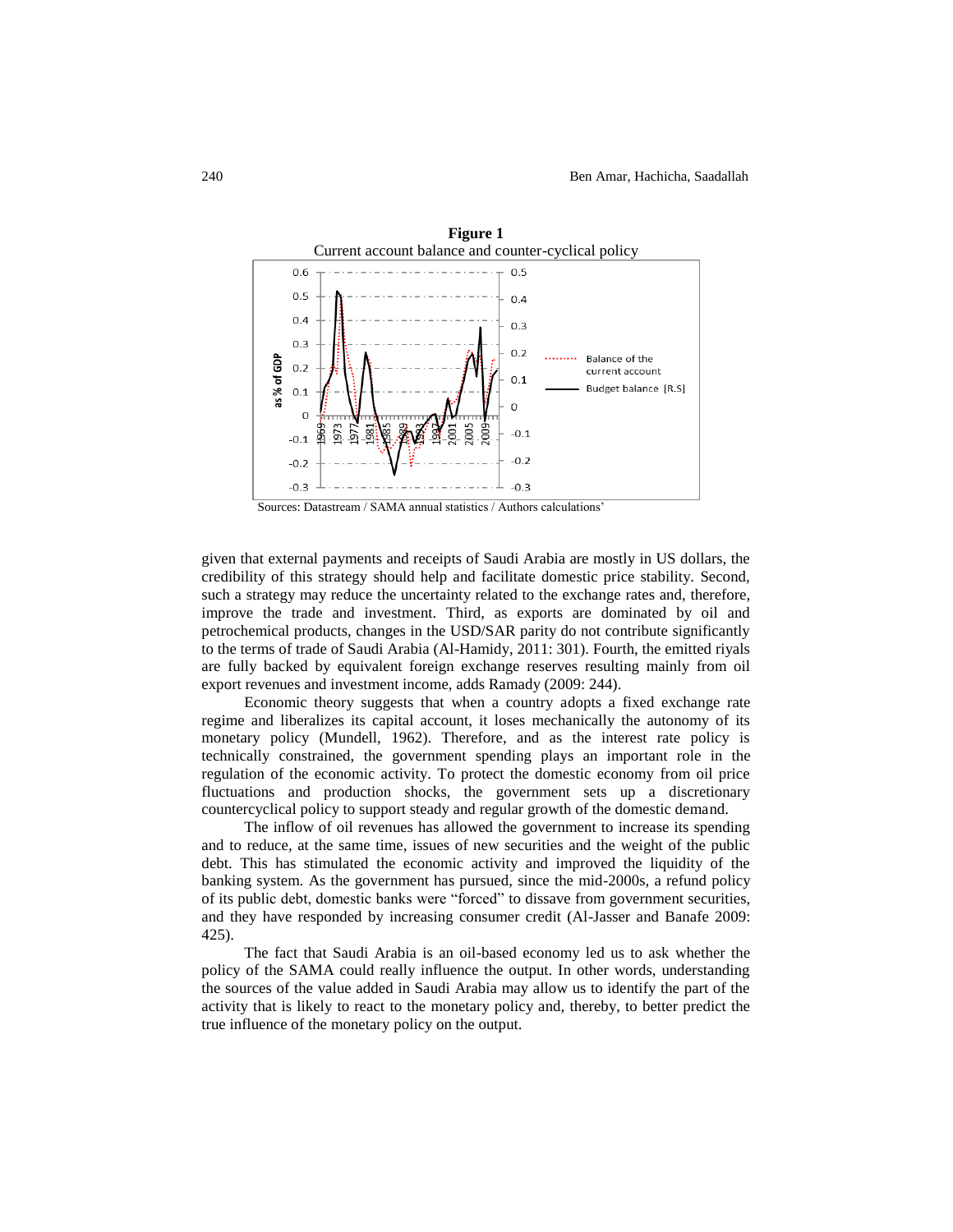



given that external payments and receipts of Saudi Arabia are mostly in US dollars, the credibility of this strategy should help and facilitate domestic price stability. Second, such a strategy may reduce the uncertainty related to the exchange rates and, therefore, improve the trade and investment. Third, as exports are dominated by oil and petrochemical products, changes in the USD/SAR parity do not contribute significantly to the terms of trade of Saudi Arabia (Al-Hamidy, 2011: 301). Fourth, the emitted riyals are fully backed by equivalent foreign exchange reserves resulting mainly from oil export revenues and investment income, adds Ramady (2009: 244).

Economic theory suggests that when a country adopts a fixed exchange rate regime and liberalizes its capital account, it loses mechanically the autonomy of its monetary policy (Mundell, 1962). Therefore, and as the interest rate policy is technically constrained, the government spending plays an important role in the regulation of the economic activity. To protect the domestic economy from oil price fluctuations and production shocks, the government sets up a discretionary countercyclical policy to support steady and regular growth of the domestic demand.

The inflow of oil revenues has allowed the government to increase its spending and to reduce, at the same time, issues of new securities and the weight of the public debt. This has stimulated the economic activity and improved the liquidity of the banking system. As the government has pursued, since the mid-2000s, a refund policy of its public debt, domestic banks were "forced" to dissave from government securities, and they have responded by increasing consumer credit (Al-Jasser and Banafe 2009: 425).

The fact that Saudi Arabia is an oil-based economy led us to ask whether the policy of the SAMA could really influence the output. In other words, understanding the sources of the value added in Saudi Arabia may allow us to identify the part of the activity that is likely to react to the monetary policy and, thereby, to better predict the true influence of the monetary policy on the output.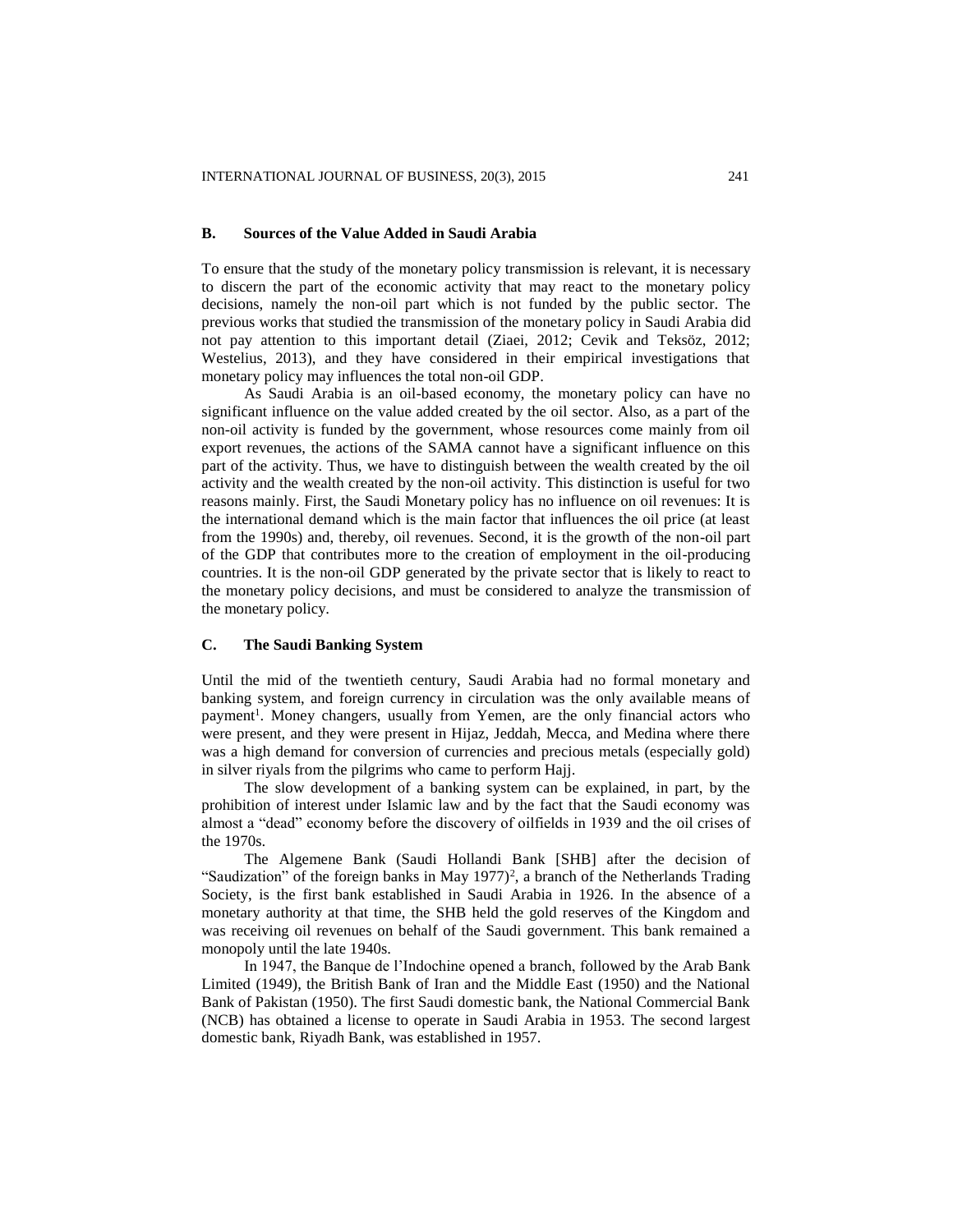## **B. Sources of the Value Added in Saudi Arabia**

To ensure that the study of the monetary policy transmission is relevant, it is necessary to discern the part of the economic activity that may react to the monetary policy decisions, namely the non-oil part which is not funded by the public sector. The previous works that studied the transmission of the monetary policy in Saudi Arabia did not pay attention to this important detail (Ziaei, 2012; Cevik and Teksöz, 2012; Westelius, 2013), and they have considered in their empirical investigations that monetary policy may influences the total non-oil GDP.

As Saudi Arabia is an oil-based economy, the monetary policy can have no significant influence on the value added created by the oil sector. Also, as a part of the non-oil activity is funded by the government, whose resources come mainly from oil export revenues, the actions of the SAMA cannot have a significant influence on this part of the activity. Thus, we have to distinguish between the wealth created by the oil activity and the wealth created by the non-oil activity. This distinction is useful for two reasons mainly. First, the Saudi Monetary policy has no influence on oil revenues: It is the international demand which is the main factor that influences the oil price (at least from the 1990s) and, thereby, oil revenues. Second, it is the growth of the non-oil part of the GDP that contributes more to the creation of employment in the oil-producing countries. It is the non-oil GDP generated by the private sector that is likely to react to the monetary policy decisions, and must be considered to analyze the transmission of the monetary policy.

## **C. The Saudi Banking System**

Until the mid of the twentieth century, Saudi Arabia had no formal monetary and banking system, and foreign currency in circulation was the only available means of payment<sup>1</sup>. Money changers, usually from Yemen, are the only financial actors who were present, and they were present in Hijaz, Jeddah, Mecca, and Medina where there was a high demand for conversion of currencies and precious metals (especially gold) in silver riyals from the pilgrims who came to perform Hajj.

The slow development of a banking system can be explained, in part, by the prohibition of interest under Islamic law and by the fact that the Saudi economy was almost a "dead" economy before the discovery of oilfields in 1939 and the oil crises of the 1970s.

The Algemene Bank (Saudi Hollandi Bank [SHB] after the decision of "Saudization" of the foreign banks in May  $1977$ )<sup>2</sup>, a branch of the Netherlands Trading Society, is the first bank established in Saudi Arabia in 1926. In the absence of a monetary authority at that time, the SHB held the gold reserves of the Kingdom and was receiving oil revenues on behalf of the Saudi government. This bank remained a monopoly until the late 1940s.

In 1947, the Banque de l'Indochine opened a branch, followed by the Arab Bank Limited (1949), the British Bank of Iran and the Middle East (1950) and the National Bank of Pakistan (1950). The first Saudi domestic bank, the National Commercial Bank (NCB) has obtained a license to operate in Saudi Arabia in 1953. The second largest domestic bank, Riyadh Bank, was established in 1957.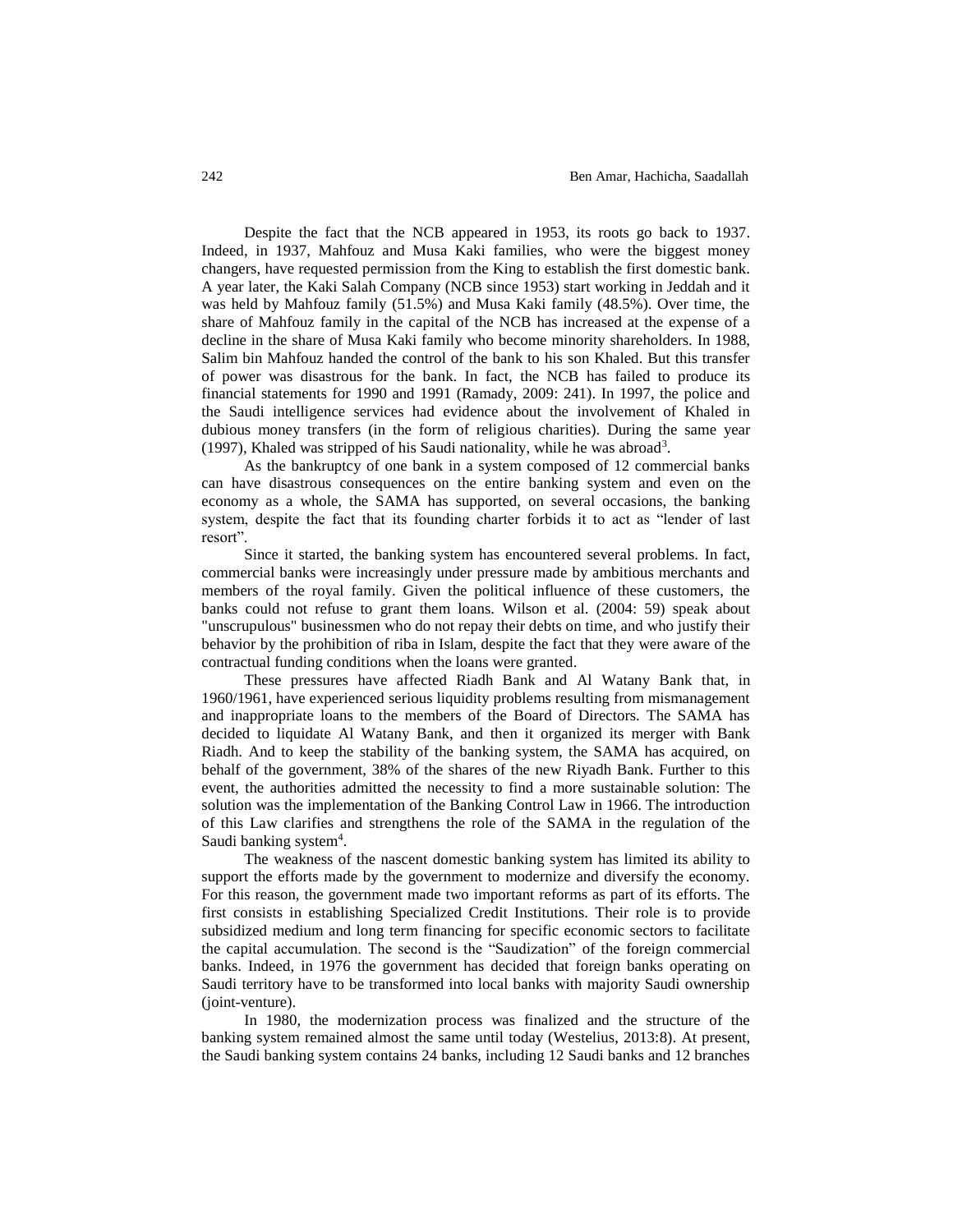Despite the fact that the NCB appeared in 1953, its roots go back to 1937. Indeed, in 1937, Mahfouz and Musa Kaki families, who were the biggest money changers, have requested permission from the King to establish the first domestic bank. A year later, the Kaki Salah Company (NCB since 1953) start working in Jeddah and it was held by Mahfouz family (51.5%) and Musa Kaki family (48.5%). Over time, the share of Mahfouz family in the capital of the NCB has increased at the expense of a decline in the share of Musa Kaki family who become minority shareholders. In 1988, Salim bin Mahfouz handed the control of the bank to his son Khaled. But this transfer of power was disastrous for the bank. In fact, the NCB has failed to produce its financial statements for 1990 and 1991 (Ramady, 2009: 241). In 1997, the police and the Saudi intelligence services had evidence about the involvement of Khaled in dubious money transfers (in the form of religious charities). During the same year (1997), Khaled was stripped of his Saudi nationality, while he was abroad<sup>3</sup>.

As the bankruptcy of one bank in a system composed of 12 commercial banks can have disastrous consequences on the entire banking system and even on the economy as a whole, the SAMA has supported, on several occasions, the banking system, despite the fact that its founding charter forbids it to act as "lender of last resort".

Since it started, the banking system has encountered several problems. In fact, commercial banks were increasingly under pressure made by ambitious merchants and members of the royal family. Given the political influence of these customers, the banks could not refuse to grant them loans. Wilson et al. (2004: 59) speak about "unscrupulous" businessmen who do not repay their debts on time, and who justify their behavior by the prohibition of riba in Islam, despite the fact that they were aware of the contractual funding conditions when the loans were granted.

These pressures have affected Riadh Bank and Al Watany Bank that, in 1960/1961, have experienced serious liquidity problems resulting from mismanagement and inappropriate loans to the members of the Board of Directors. The SAMA has decided to liquidate Al Watany Bank, and then it organized its merger with Bank Riadh. And to keep the stability of the banking system, the SAMA has acquired, on behalf of the government, 38% of the shares of the new Riyadh Bank. Further to this event, the authorities admitted the necessity to find a more sustainable solution: The solution was the implementation of the Banking Control Law in 1966. The introduction of this Law clarifies and strengthens the role of the SAMA in the regulation of the Saudi banking system<sup>4</sup>.

The weakness of the nascent domestic banking system has limited its ability to support the efforts made by the government to modernize and diversify the economy. For this reason, the government made two important reforms as part of its efforts. The first consists in establishing Specialized Credit Institutions. Their role is to provide subsidized medium and long term financing for specific economic sectors to facilitate the capital accumulation. The second is the "Saudization" of the foreign commercial banks. Indeed, in 1976 the government has decided that foreign banks operating on Saudi territory have to be transformed into local banks with majority Saudi ownership (joint-venture).

In 1980, the modernization process was finalized and the structure of the banking system remained almost the same until today (Westelius, 2013:8). At present, the Saudi banking system contains 24 banks, including 12 Saudi banks and 12 branches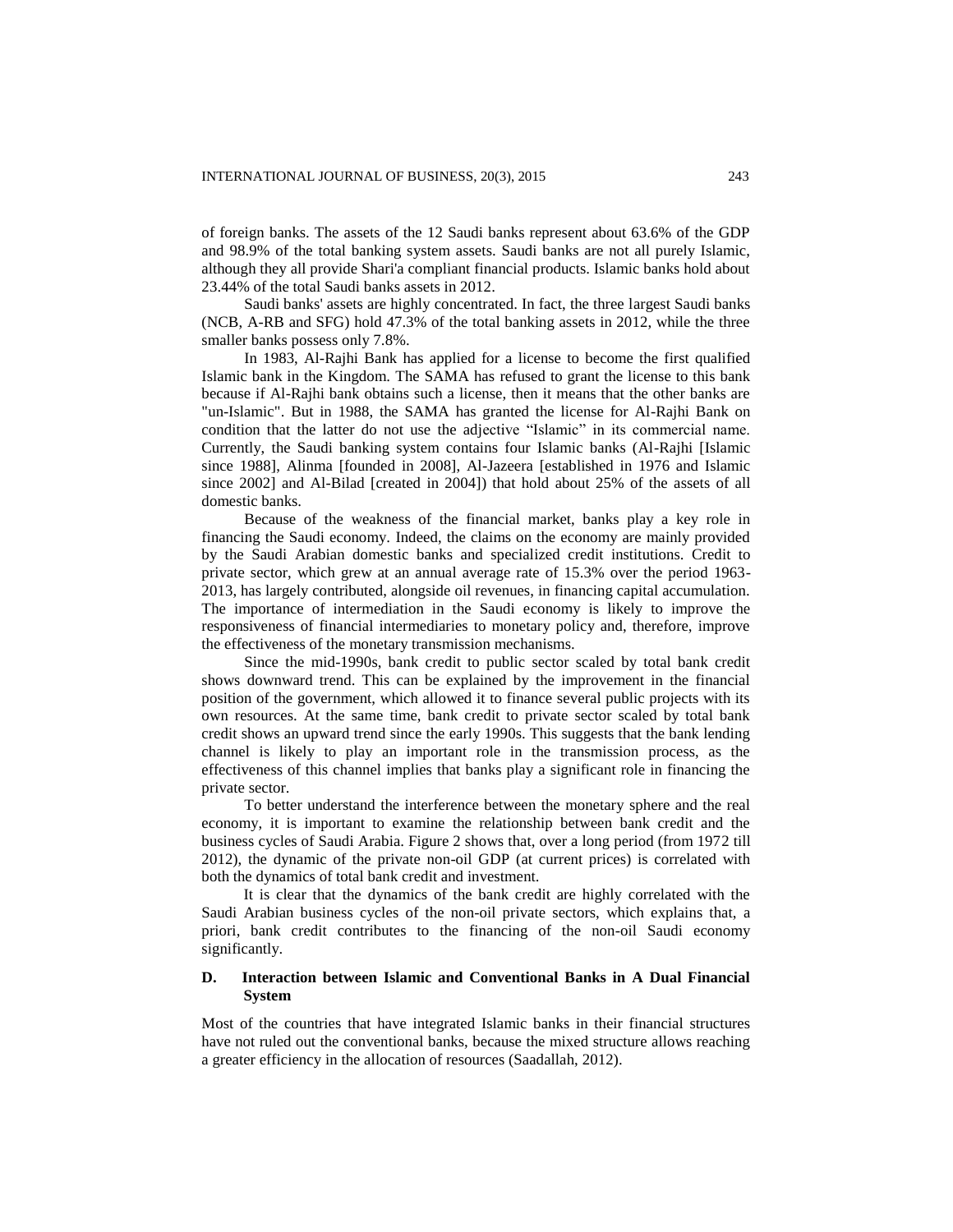of foreign banks. The assets of the 12 Saudi banks represent about 63.6% of the GDP and 98.9% of the total banking system assets. Saudi banks are not all purely Islamic, although they all provide Shari'a compliant financial products. Islamic banks hold about 23.44% of the total Saudi banks assets in 2012.

Saudi banks' assets are highly concentrated. In fact, the three largest Saudi banks (NCB, A-RB and SFG) hold 47.3% of the total banking assets in 2012, while the three smaller banks possess only 7.8%.

In 1983, Al-Rajhi Bank has applied for a license to become the first qualified Islamic bank in the Kingdom. The SAMA has refused to grant the license to this bank because if Al-Rajhi bank obtains such a license, then it means that the other banks are "un-Islamic". But in 1988, the SAMA has granted the license for Al-Rajhi Bank on condition that the latter do not use the adjective "Islamic" in its commercial name. Currently, the Saudi banking system contains four Islamic banks (Al-Rajhi [Islamic since 1988], Alinma [founded in 2008], Al-Jazeera [established in 1976 and Islamic since 2002] and Al-Bilad [created in 2004]) that hold about 25% of the assets of all domestic banks.

Because of the weakness of the financial market, banks play a key role in financing the Saudi economy. Indeed, the claims on the economy are mainly provided by the Saudi Arabian domestic banks and specialized credit institutions. Credit to private sector, which grew at an annual average rate of 15.3% over the period 1963- 2013, has largely contributed, alongside oil revenues, in financing capital accumulation. The importance of intermediation in the Saudi economy is likely to improve the responsiveness of financial intermediaries to monetary policy and, therefore, improve the effectiveness of the monetary transmission mechanisms.

Since the mid-1990s, bank credit to public sector scaled by total bank credit shows downward trend. This can be explained by the improvement in the financial position of the government, which allowed it to finance several public projects with its own resources. At the same time, bank credit to private sector scaled by total bank credit shows an upward trend since the early 1990s. This suggests that the bank lending channel is likely to play an important role in the transmission process, as the effectiveness of this channel implies that banks play a significant role in financing the private sector.

To better understand the interference between the monetary sphere and the real economy, it is important to examine the relationship between bank credit and the business cycles of Saudi Arabia. Figure 2 shows that, over a long period (from 1972 till 2012), the dynamic of the private non-oil GDP (at current prices) is correlated with both the dynamics of total bank credit and investment.

It is clear that the dynamics of the bank credit are highly correlated with the Saudi Arabian business cycles of the non-oil private sectors, which explains that, a priori, bank credit contributes to the financing of the non-oil Saudi economy significantly.

## **D. Interaction between Islamic and Conventional Banks in A Dual Financial System**

Most of the countries that have integrated Islamic banks in their financial structures have not ruled out the conventional banks, because the mixed structure allows reaching a greater efficiency in the allocation of resources (Saadallah, 2012).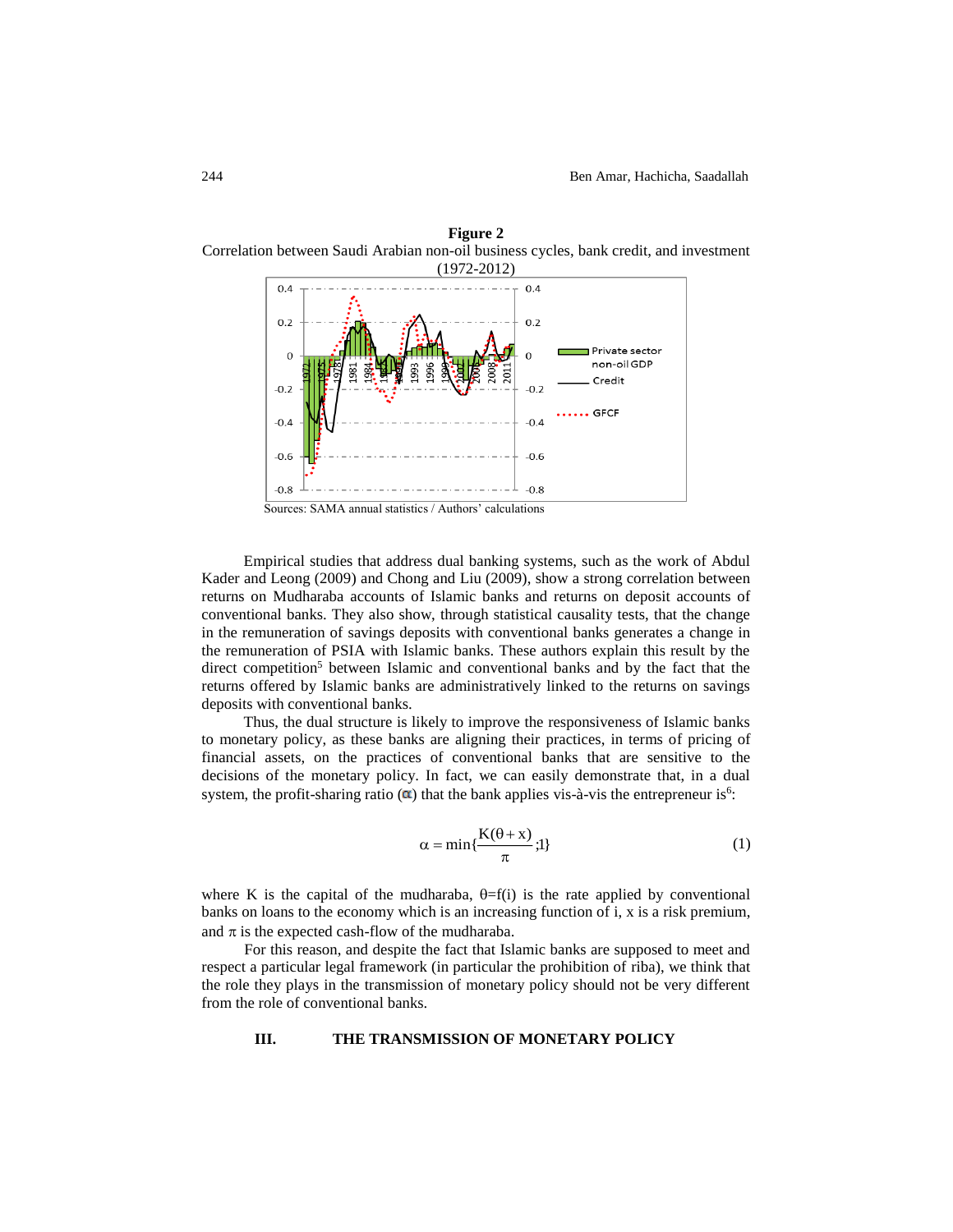

**Figure 2** Correlation between Saudi Arabian non-oil business cycles, bank credit, and investment

Empirical studies that address dual banking systems, such as the work of Abdul Kader and Leong (2009) and Chong and Liu (2009), show a strong correlation between returns on Mudharaba accounts of Islamic banks and returns on deposit accounts of conventional banks. They also show, through statistical causality tests, that the change in the remuneration of savings deposits with conventional banks generates a change in the remuneration of PSIA with Islamic banks. These authors explain this result by the direct competition<sup>5</sup> between Islamic and conventional banks and by the fact that the returns offered by Islamic banks are administratively linked to the returns on savings deposits with conventional banks.

Thus, the dual structure is likely to improve the responsiveness of Islamic banks to monetary policy, as these banks are aligning their practices, in terms of pricing of financial assets, on the practices of conventional banks that are sensitive to the decisions of the monetary policy. In fact, we can easily demonstrate that, in a dual system, the profit-sharing ratio  $(\alpha)$  that the bank applies vis-à-vis the entrepreneur is<sup>6</sup>:

$$
\alpha = \min\{\frac{K(\theta + x)}{\pi}; 1\}
$$
 (1)

where K is the capital of the mudharaba,  $\theta = f(i)$  is the rate applied by conventional banks on loans to the economy which is an increasing function of i, x is a risk premium, and  $\pi$  is the expected cash-flow of the mudharaba.

For this reason, and despite the fact that Islamic banks are supposed to meet and respect a particular legal framework (in particular the prohibition of riba), we think that the role they plays in the transmission of monetary policy should not be very different from the role of conventional banks.

## **III. THE TRANSMISSION OF MONETARY POLICY**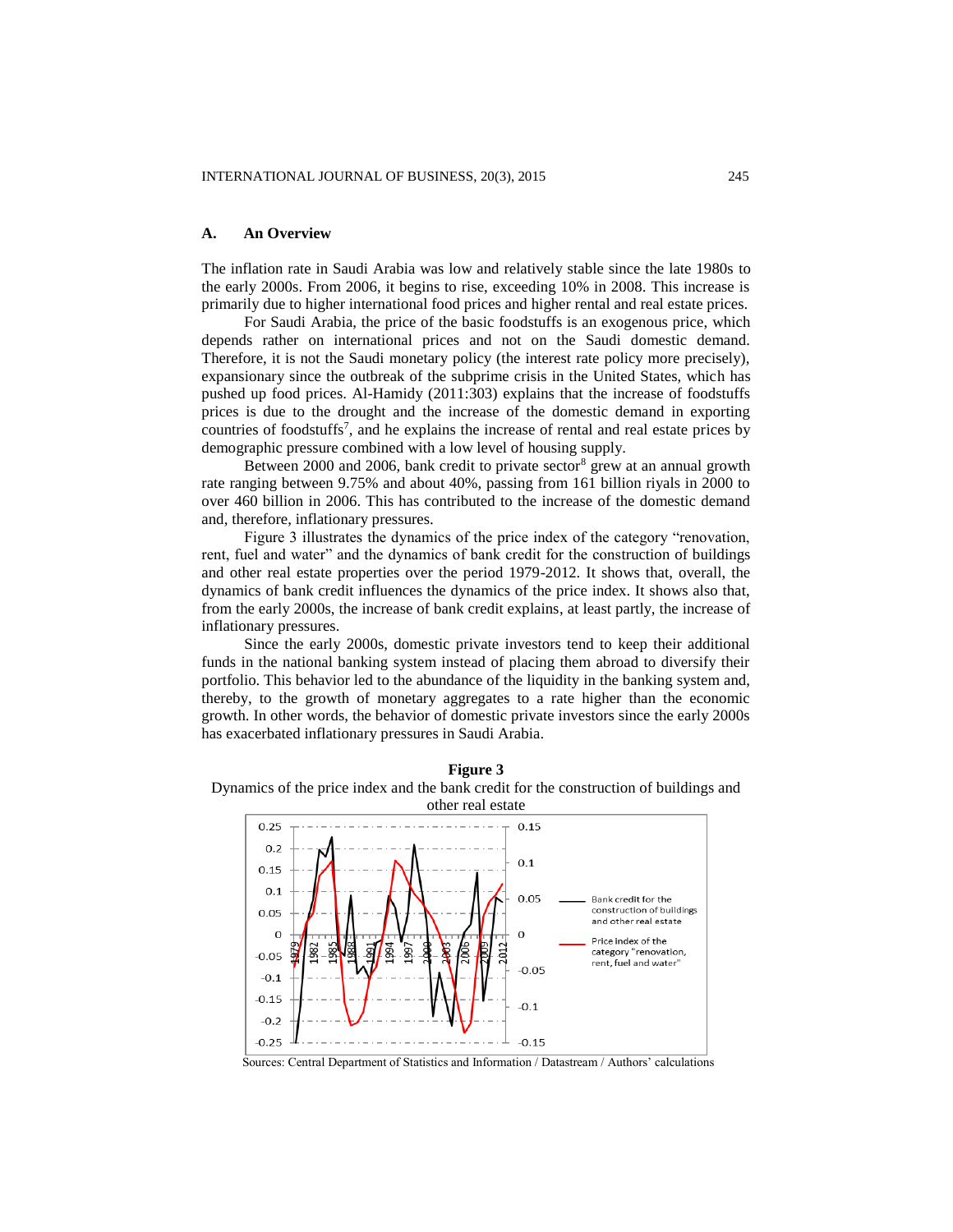#### **A. An Overview**

The inflation rate in Saudi Arabia was low and relatively stable since the late 1980s to the early 2000s. From 2006, it begins to rise, exceeding 10% in 2008. This increase is primarily due to higher international food prices and higher rental and real estate prices.

For Saudi Arabia, the price of the basic foodstuffs is an exogenous price, which depends rather on international prices and not on the Saudi domestic demand. Therefore, it is not the Saudi monetary policy (the interest rate policy more precisely), expansionary since the outbreak of the subprime crisis in the United States, which has pushed up food prices. Al-Hamidy (2011:303) explains that the increase of foodstuffs prices is due to the drought and the increase of the domestic demand in exporting countries of foodstuffs<sup>7</sup>, and he explains the increase of rental and real estate prices by demographic pressure combined with a low level of housing supply.

Between 2000 and 2006, bank credit to private sector<sup>8</sup> grew at an annual growth rate ranging between 9.75% and about 40%, passing from 161 billion riyals in 2000 to over 460 billion in 2006. This has contributed to the increase of the domestic demand and, therefore, inflationary pressures.

Figure 3 illustrates the dynamics of the price index of the category "renovation, rent, fuel and water" and the dynamics of bank credit for the construction of buildings and other real estate properties over the period 1979-2012. It shows that, overall, the dynamics of bank credit influences the dynamics of the price index. It shows also that, from the early 2000s, the increase of bank credit explains, at least partly, the increase of inflationary pressures.

Since the early 2000s, domestic private investors tend to keep their additional funds in the national banking system instead of placing them abroad to diversify their portfolio. This behavior led to the abundance of the liquidity in the banking system and, thereby, to the growth of monetary aggregates to a rate higher than the economic growth. In other words, the behavior of domestic private investors since the early 2000s has exacerbated inflationary pressures in Saudi Arabia.





Sources: Central Department of Statistics and Information / Datastream / Authors' calculations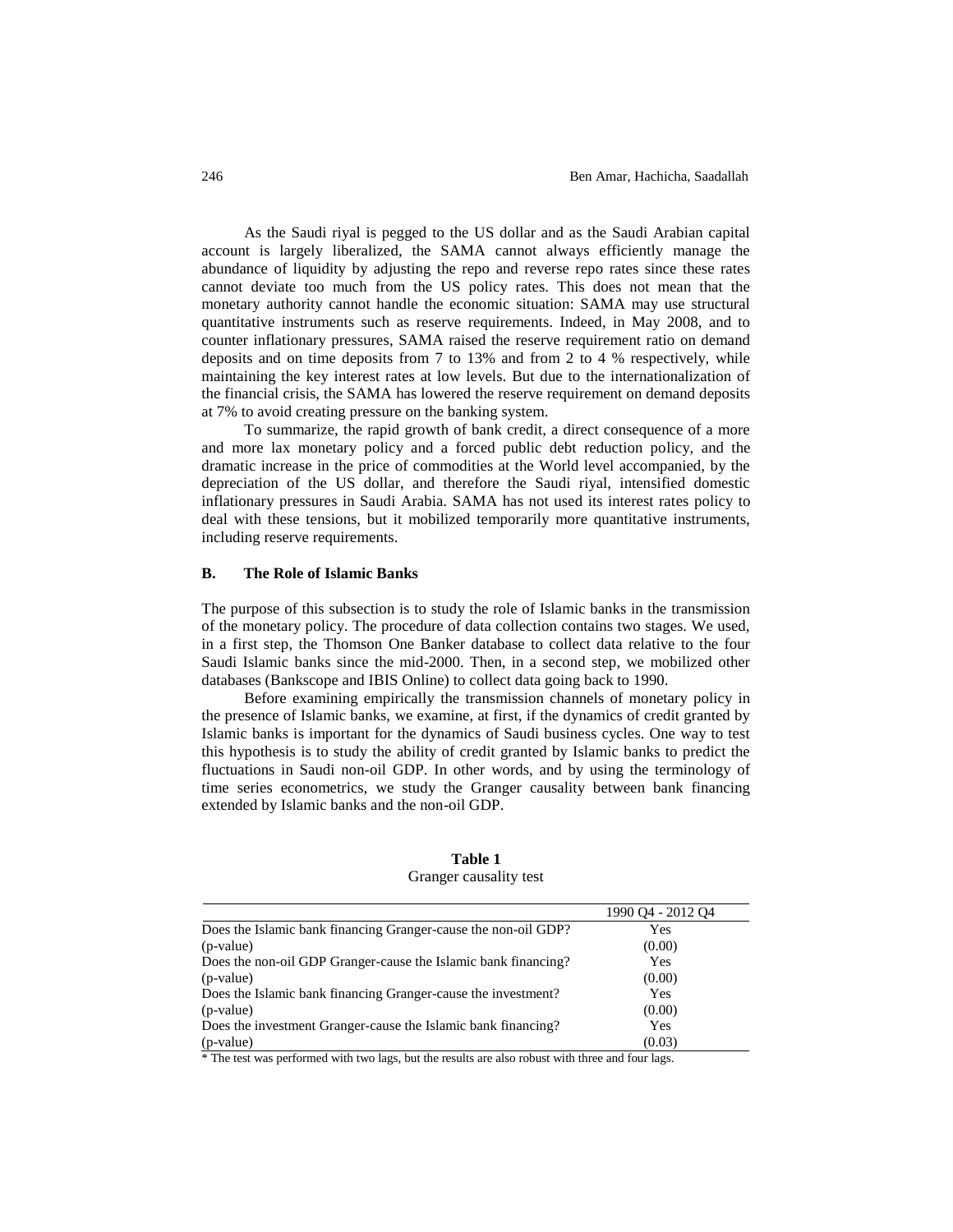As the Saudi riyal is pegged to the US dollar and as the Saudi Arabian capital account is largely liberalized, the SAMA cannot always efficiently manage the abundance of liquidity by adjusting the repo and reverse repo rates since these rates cannot deviate too much from the US policy rates. This does not mean that the monetary authority cannot handle the economic situation: SAMA may use structural quantitative instruments such as reserve requirements. Indeed, in May 2008, and to counter inflationary pressures, SAMA raised the reserve requirement ratio on demand deposits and on time deposits from 7 to 13% and from 2 to 4 % respectively, while maintaining the key interest rates at low levels. But due to the internationalization of the financial crisis, the SAMA has lowered the reserve requirement on demand deposits at 7% to avoid creating pressure on the banking system.

To summarize, the rapid growth of bank credit, a direct consequence of a more and more lax monetary policy and a forced public debt reduction policy, and the dramatic increase in the price of commodities at the World level accompanied, by the depreciation of the US dollar, and therefore the Saudi riyal, intensified domestic inflationary pressures in Saudi Arabia. SAMA has not used its interest rates policy to deal with these tensions, but it mobilized temporarily more quantitative instruments, including reserve requirements.

# **B. The Role of Islamic Banks**

The purpose of this subsection is to study the role of Islamic banks in the transmission of the monetary policy. The procedure of data collection contains two stages. We used, in a first step, the Thomson One Banker database to collect data relative to the four Saudi Islamic banks since the mid-2000. Then, in a second step, we mobilized other databases (Bankscope and IBIS Online) to collect data going back to 1990.

Before examining empirically the transmission channels of monetary policy in the presence of Islamic banks, we examine, at first, if the dynamics of credit granted by Islamic banks is important for the dynamics of Saudi business cycles. One way to test this hypothesis is to study the ability of credit granted by Islamic banks to predict the fluctuations in Saudi non-oil GDP. In other words, and by using the terminology of time series econometrics, we study the Granger causality between bank financing extended by Islamic banks and the non-oil GDP.

|                                                                | 1990 04 - 2012 04 |
|----------------------------------------------------------------|-------------------|
| Does the Islamic bank financing Granger-cause the non-oil GDP? | Yes               |
| (p-value)                                                      | (0.00)            |
| Does the non-oil GDP Granger-cause the Islamic bank financing? | Yes               |
| (p-value)                                                      | (0.00)            |
| Does the Islamic bank financing Granger-cause the investment?  | Yes               |
| (p-value)                                                      | (0.00)            |
| Does the investment Granger-cause the Islamic bank financing?  | Yes               |
| (p-value)                                                      | (0.03)            |

**Table 1** Granger causality test

\* The test was performed with two lags, but the results are also robust with three and four lags.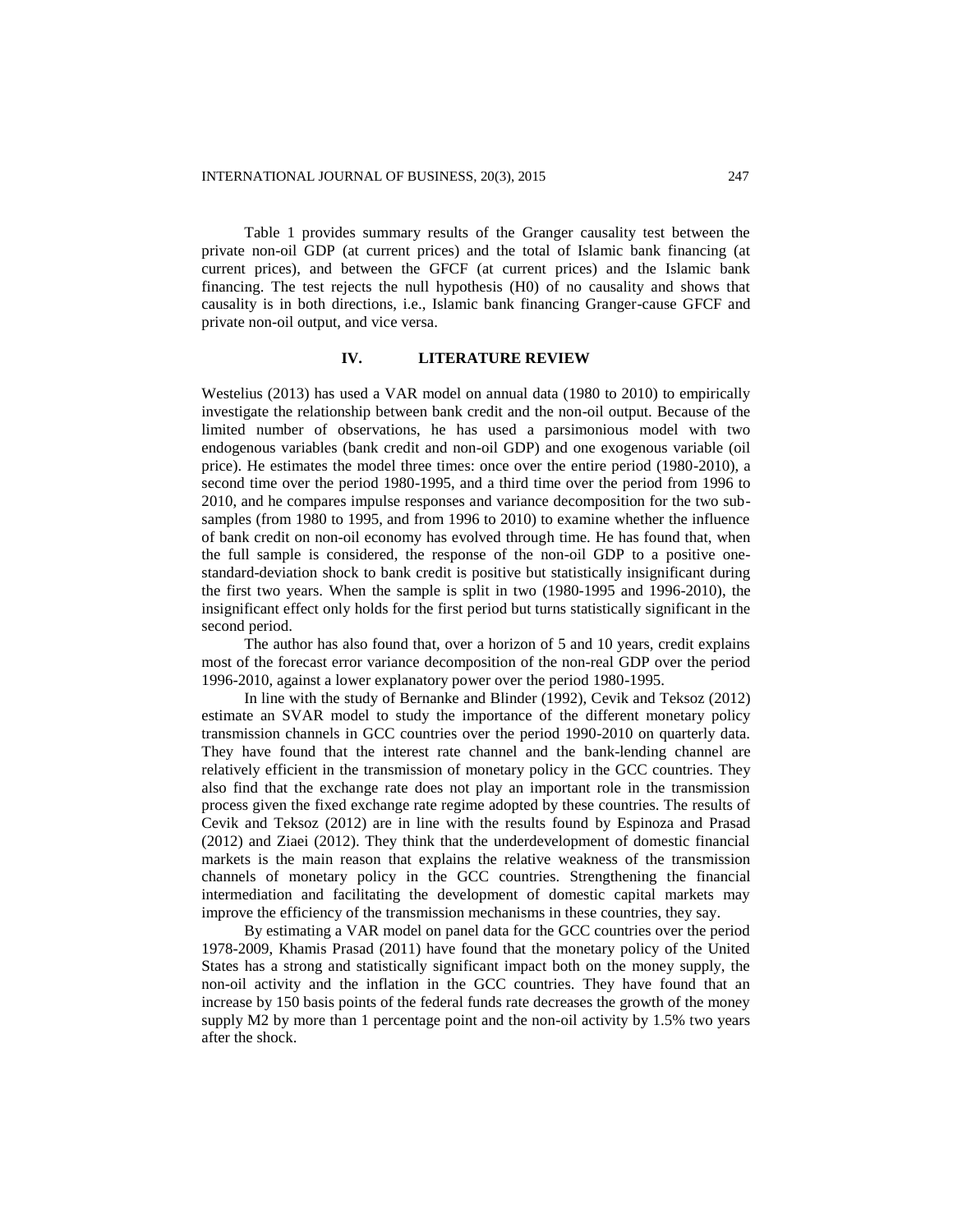Table 1 provides summary results of the Granger causality test between the private non-oil GDP (at current prices) and the total of Islamic bank financing (at current prices), and between the GFCF (at current prices) and the Islamic bank financing. The test rejects the null hypothesis (H0) of no causality and shows that causality is in both directions, i.e., Islamic bank financing Granger-cause GFCF and private non-oil output, and vice versa.

## **IV. LITERATURE REVIEW**

Westelius (2013) has used a VAR model on annual data (1980 to 2010) to empirically investigate the relationship between bank credit and the non-oil output. Because of the limited number of observations, he has used a parsimonious model with two endogenous variables (bank credit and non-oil GDP) and one exogenous variable (oil price). He estimates the model three times: once over the entire period (1980-2010), a second time over the period 1980-1995, and a third time over the period from 1996 to 2010, and he compares impulse responses and variance decomposition for the two subsamples (from 1980 to 1995, and from 1996 to 2010) to examine whether the influence of bank credit on non-oil economy has evolved through time. He has found that, when the full sample is considered, the response of the non-oil GDP to a positive onestandard-deviation shock to bank credit is positive but statistically insignificant during the first two years. When the sample is split in two (1980-1995 and 1996-2010), the insignificant effect only holds for the first period but turns statistically significant in the second period.

The author has also found that, over a horizon of 5 and 10 years, credit explains most of the forecast error variance decomposition of the non-real GDP over the period 1996-2010, against a lower explanatory power over the period 1980-1995.

In line with the study of Bernanke and Blinder (1992), Cevik and Teksoz (2012) estimate an SVAR model to study the importance of the different monetary policy transmission channels in GCC countries over the period 1990-2010 on quarterly data. They have found that the interest rate channel and the bank-lending channel are relatively efficient in the transmission of monetary policy in the GCC countries. They also find that the exchange rate does not play an important role in the transmission process given the fixed exchange rate regime adopted by these countries. The results of Cevik and Teksoz (2012) are in line with the results found by Espinoza and Prasad (2012) and Ziaei (2012). They think that the underdevelopment of domestic financial markets is the main reason that explains the relative weakness of the transmission channels of monetary policy in the GCC countries. Strengthening the financial intermediation and facilitating the development of domestic capital markets may improve the efficiency of the transmission mechanisms in these countries, they say.

By estimating a VAR model on panel data for the GCC countries over the period 1978-2009, Khamis Prasad (2011) have found that the monetary policy of the United States has a strong and statistically significant impact both on the money supply, the non-oil activity and the inflation in the GCC countries. They have found that an increase by 150 basis points of the federal funds rate decreases the growth of the money supply M2 by more than 1 percentage point and the non-oil activity by 1.5% two years after the shock.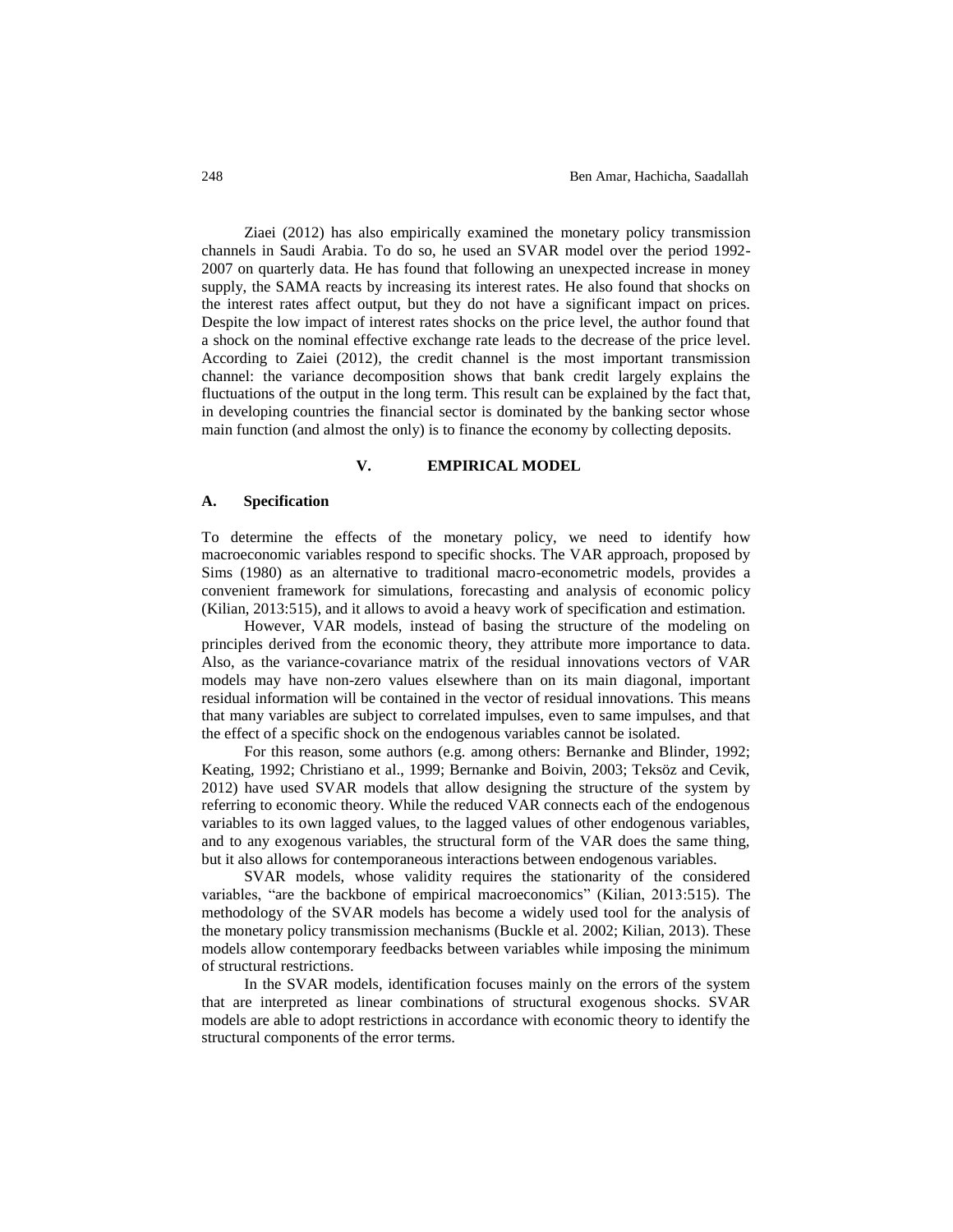Ziaei (2012) has also empirically examined the monetary policy transmission channels in Saudi Arabia. To do so, he used an SVAR model over the period 1992- 2007 on quarterly data. He has found that following an unexpected increase in money supply, the SAMA reacts by increasing its interest rates. He also found that shocks on the interest rates affect output, but they do not have a significant impact on prices. Despite the low impact of interest rates shocks on the price level, the author found that a shock on the nominal effective exchange rate leads to the decrease of the price level. According to Zaiei (2012), the credit channel is the most important transmission channel: the variance decomposition shows that bank credit largely explains the fluctuations of the output in the long term. This result can be explained by the fact that, in developing countries the financial sector is dominated by the banking sector whose main function (and almost the only) is to finance the economy by collecting deposits.

## **V. EMPIRICAL MODEL**

#### **A. Specification**

To determine the effects of the monetary policy, we need to identify how macroeconomic variables respond to specific shocks. The VAR approach, proposed by Sims (1980) as an alternative to traditional macro-econometric models, provides a convenient framework for simulations, forecasting and analysis of economic policy (Kilian, 2013:515), and it allows to avoid a heavy work of specification and estimation.

However, VAR models, instead of basing the structure of the modeling on principles derived from the economic theory, they attribute more importance to data. Also, as the variance-covariance matrix of the residual innovations vectors of VAR models may have non-zero values elsewhere than on its main diagonal, important residual information will be contained in the vector of residual innovations. This means that many variables are subject to correlated impulses, even to same impulses, and that the effect of a specific shock on the endogenous variables cannot be isolated.

For this reason, some authors (e.g. among others: Bernanke and Blinder, 1992; Keating, 1992; Christiano et al., 1999; Bernanke and Boivin, 2003; Teksöz and Cevik, 2012) have used SVAR models that allow designing the structure of the system by referring to economic theory. While the reduced VAR connects each of the endogenous variables to its own lagged values, to the lagged values of other endogenous variables, and to any exogenous variables, the structural form of the VAR does the same thing, but it also allows for contemporaneous interactions between endogenous variables.

SVAR models, whose validity requires the stationarity of the considered variables, "are the backbone of empirical macroeconomics" (Kilian, 2013:515). The methodology of the SVAR models has become a widely used tool for the analysis of the monetary policy transmission mechanisms (Buckle et al. 2002; Kilian, 2013). These models allow contemporary feedbacks between variables while imposing the minimum of structural restrictions.

In the SVAR models, identification focuses mainly on the errors of the system that are interpreted as linear combinations of structural exogenous shocks. SVAR models are able to adopt restrictions in accordance with economic theory to identify the structural components of the error terms.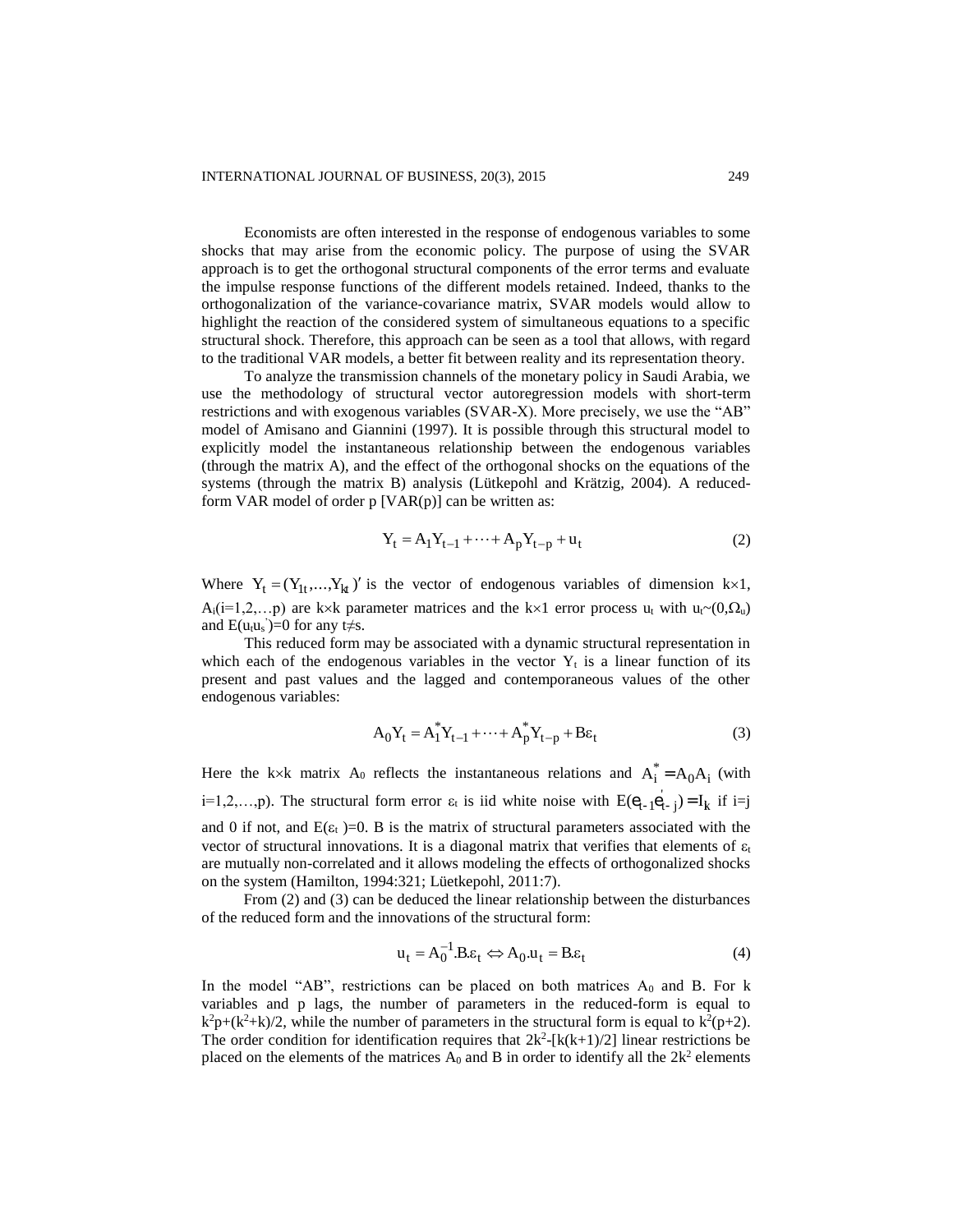Economists are often interested in the response of endogenous variables to some shocks that may arise from the economic policy. The purpose of using the SVAR approach is to get the orthogonal structural components of the error terms and evaluate the impulse response functions of the different models retained. Indeed, thanks to the orthogonalization of the variance-covariance matrix, SVAR models would allow to highlight the reaction of the considered system of simultaneous equations to a specific structural shock. Therefore, this approach can be seen as a tool that allows, with regard to the traditional VAR models, a better fit between reality and its representation theory.

To analyze the transmission channels of the monetary policy in Saudi Arabia, we use the methodology of structural vector autoregression models with short-term restrictions and with exogenous variables (SVAR-X). More precisely, we use the "AB" model of Amisano and Giannini (1997). It is possible through this structural model to explicitly model the instantaneous relationship between the endogenous variables (through the matrix A), and the effect of the orthogonal shocks on the equations of the systems (through the matrix B) analysis (Lütkepohl and Krätzig, 2004). A reducedform VAR model of order  $p$  [VAR $(p)$ ] can be written as:

$$
Y_{t} = A_{1}Y_{t-1} + \dots + A_{p}Y_{t-p} + u_{t}
$$
 (2)

Where  $Y_t = (Y_{1t},...,Y_{kt})'$  is the vector of endogenous variables of dimension k×1,  $A_i(i=1,2,...p)$  are k×k parameter matrices and the k×1 error process  $u_t$  with  $u_t \sim (0,\Omega_u)$ and  $E(u_t u_s) = 0$  for any t $\neq s$ .

This reduced form may be associated with a dynamic structural representation in which each of the endogenous variables in the vector  $Y_t$  is a linear function of its present and past values and the lagged and contemporaneous values of the other endogenous variables:

$$
A_0 Y_t = A_1^* Y_{t-1} + \dots + A_p^* Y_{t-p} + B \varepsilon_t \tag{3}
$$

Here the k×k matrix A<sub>0</sub> reflects the instantaneous relations and  $A_i^* = A_0 A_i$  (with i=1,2,...,p). The structural form error  $\varepsilon_t$  is iid white noise with  $E(e_{t-1}e_{t-j}) = I_k$  if i=j and 0 if not, and  $E(\varepsilon_t)$ =0. B is the matrix of structural parameters associated with the vector of structural innovations. It is a diagonal matrix that verifies that elements of  $\varepsilon_t$ are mutually non-correlated and it allows modeling the effects of orthogonalized shocks on the system (Hamilton, 1994:321; Lüetkepohl, 2011:7).

From (2) and (3) can be deduced the linear relationship between the disturbances of the reduced form and the innovations of the structural form:

$$
\mathbf{u}_{t} = \mathbf{A}_{0}^{-1} \mathbf{B} \mathbf{\varepsilon}_{t} \Leftrightarrow \mathbf{A}_{0} \mathbf{u}_{t} = \mathbf{B} \mathbf{\varepsilon}_{t} \tag{4}
$$

In the model "AB", restrictions can be placed on both matrices  $A_0$  and B. For k variables and p lags, the number of parameters in the reduced-form is equal to  $k^2p+(k^2+k)/2$ , while the number of parameters in the structural form is equal to  $k^2(p+2)$ . The order condition for identification requires that  $2k^2 - [k(k+1)/2]$  linear restrictions be placed on the elements of the matrices  $A_0$  and B in order to identify all the  $2k^2$  elements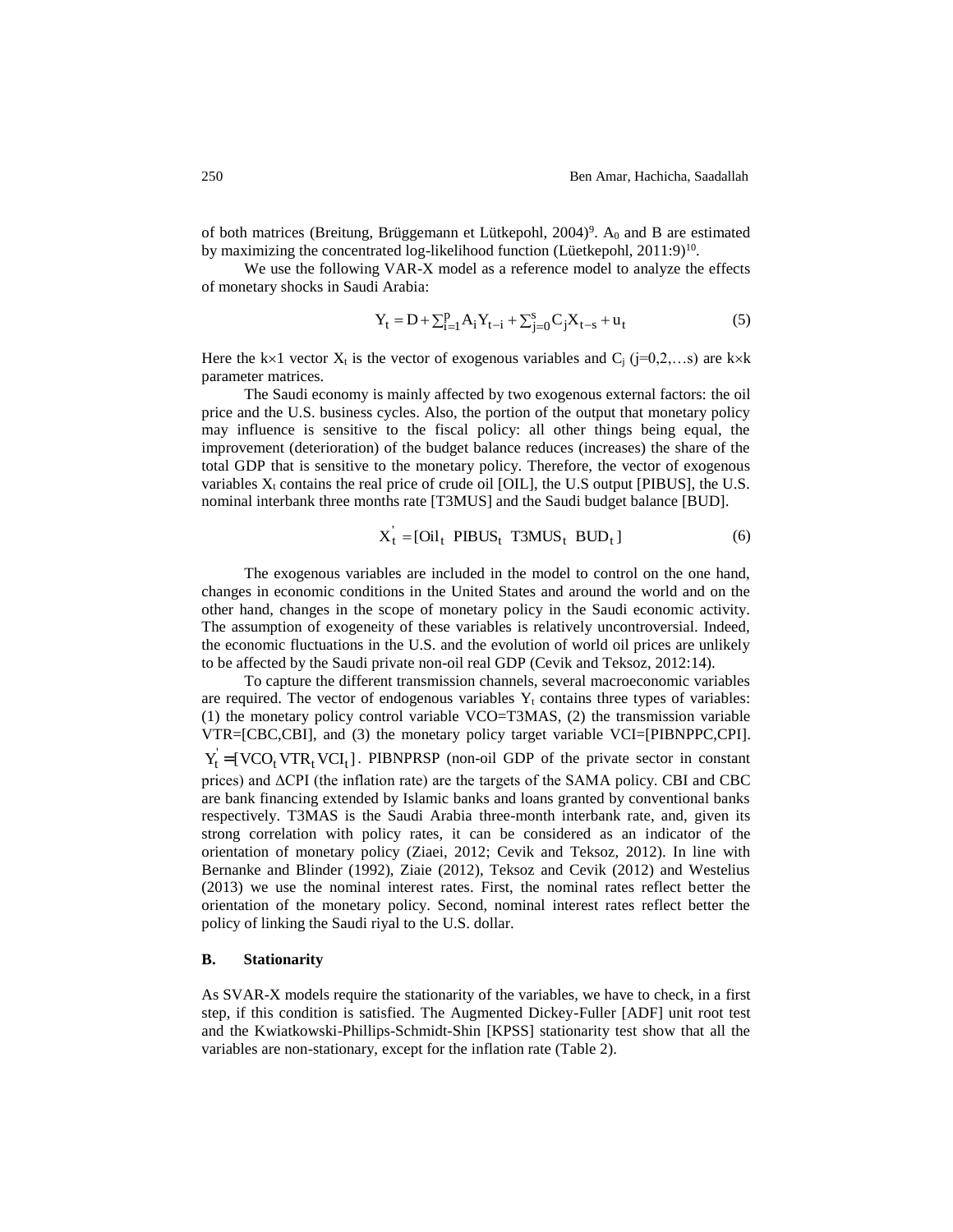of both matrices (Breitung, Brüggemann et Lütkepohl,  $2004$ <sup>9</sup>. A<sub>0</sub> and B are estimated by maximizing the concentrated log-likelihood function (Lüetkepohl,  $2011:9$ <sup>10</sup>.

We use the following VAR-X model as a reference model to analyze the effects of monetary shocks in Saudi Arabia:

$$
Y_{t} = D + \sum_{i=1}^{p} A_{i} Y_{t-i} + \sum_{j=0}^{s} C_{j} X_{t-s} + u_{t}
$$
 (5)

Here the k×1 vector  $X_t$  is the vector of exogenous variables and  $C_i$  (j=0,2,...s) are k×k parameter matrices.

The Saudi economy is mainly affected by two exogenous external factors: the oil price and the U.S. business cycles. Also, the portion of the output that monetary policy may influence is sensitive to the fiscal policy: all other things being equal, the improvement (deterioration) of the budget balance reduces (increases) the share of the total GDP that is sensitive to the monetary policy. Therefore, the vector of exogenous variables  $X_t$  contains the real price of crude oil [OIL], the U.S output [PIBUS], the U.S. nominal interbank three months rate [T3MUS] and the Saudi budget balance [BUD].

$$
X_t = [Oil_t PIBUS_t T3MUS_t BUD_t]
$$
 (6)

The exogenous variables are included in the model to control on the one hand, changes in economic conditions in the United States and around the world and on the other hand, changes in the scope of monetary policy in the Saudi economic activity. The assumption of exogeneity of these variables is relatively uncontroversial. Indeed, the economic fluctuations in the U.S. and the evolution of world oil prices are unlikely to be affected by the Saudi private non-oil real GDP (Cevik and Teksoz, 2012:14).

To capture the different transmission channels, several macroeconomic variables are required. The vector of endogenous variables  $Y_t$  contains three types of variables: (1) the monetary policy control variable VCO=T3MAS, (2) the transmission variable VTR=[CBC,CBI], and (3) the monetary policy target variable VCI=[PIBNPPC,CPI].  $Y_t' = [VCO_t VTR_t VCI_t]$ . PIBNPRSP (non-oil GDP of the private sector in constant prices) and ΔCPI (the inflation rate) are the targets of the SAMA policy. CBI and CBC are bank financing extended by Islamic banks and loans granted by conventional banks respectively. T3MAS is the Saudi Arabia three-month interbank rate, and, given its strong correlation with policy rates, it can be considered as an indicator of the orientation of monetary policy (Ziaei, 2012; Cevik and Teksoz, 2012). In line with Bernanke and Blinder (1992), Ziaie (2012), Teksoz and Cevik (2012) and Westelius (2013) we use the nominal interest rates. First, the nominal rates reflect better the orientation of the monetary policy. Second, nominal interest rates reflect better the policy of linking the Saudi riyal to the U.S. dollar.

## **B. Stationarity**

As SVAR-X models require the stationarity of the variables, we have to check, in a first step, if this condition is satisfied. The Augmented Dickey-Fuller [ADF] unit root test and the Kwiatkowski-Phillips-Schmidt-Shin [KPSS] stationarity test show that all the variables are non-stationary, except for the inflation rate (Table 2).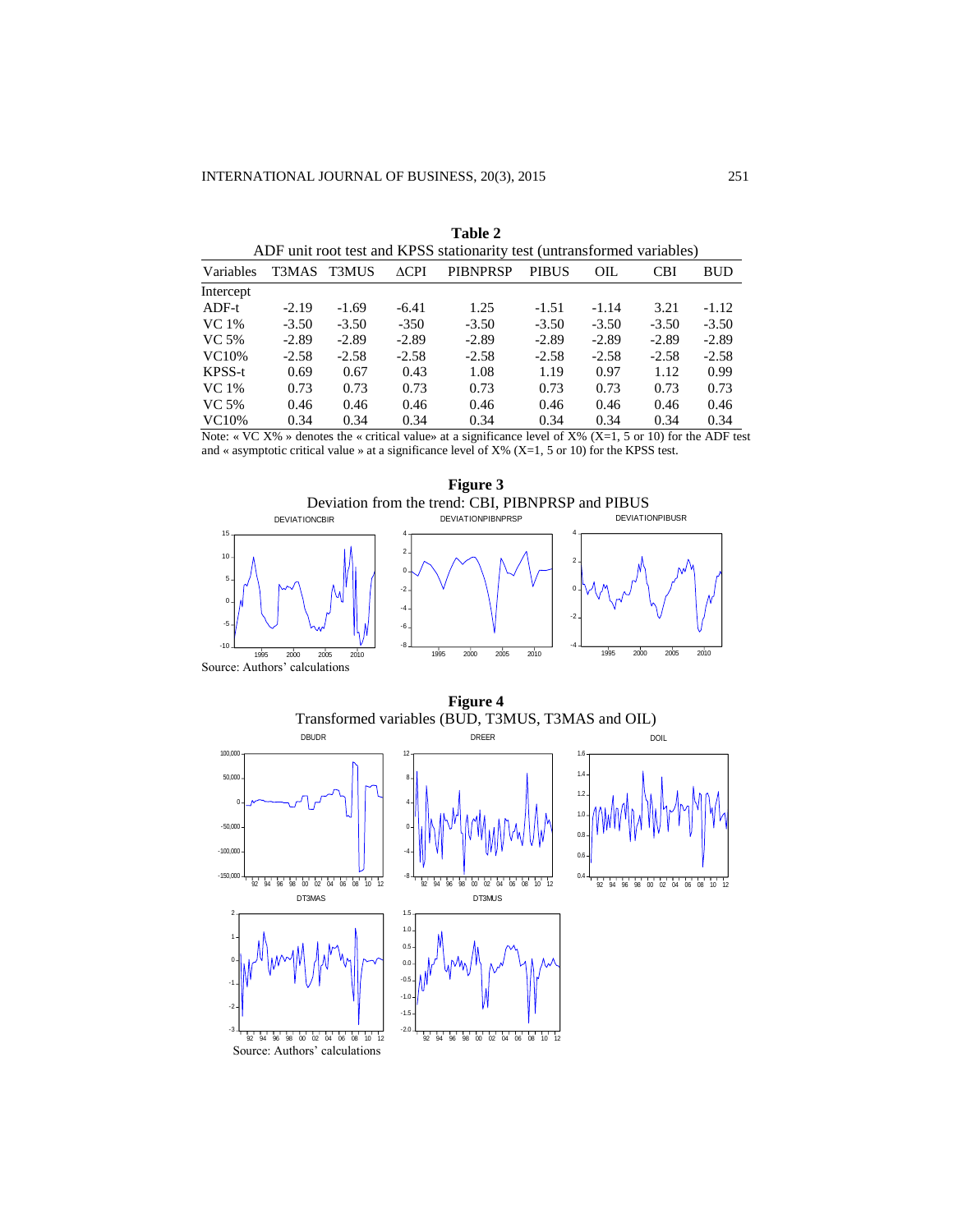| ADF unit root test and KPSS stationarity test (untransformed variables) |         |              |                 |                 |              |         |            |            |
|-------------------------------------------------------------------------|---------|--------------|-----------------|-----------------|--------------|---------|------------|------------|
| Variables                                                               | T3MAS   | <b>T3MUS</b> | $\triangle$ CPI | <b>PIBNPRSP</b> | <b>PIBUS</b> | OIL     | <b>CBI</b> | <b>BUD</b> |
| Intercept                                                               |         |              |                 |                 |              |         |            |            |
| ADF-t                                                                   | $-2.19$ | $-1.69$      | $-6.41$         | 1.25            | $-1.51$      | $-1.14$ | 3.21       | $-1.12$    |
| VC 1%                                                                   | $-3.50$ | $-3.50$      | $-350$          | $-3.50$         | $-3.50$      | $-3.50$ | $-3.50$    | $-3.50$    |
| VC 5%                                                                   | $-2.89$ | $-2.89$      | $-2.89$         | $-2.89$         | $-2.89$      | $-2.89$ | $-2.89$    | $-2.89$    |
| VC10\%                                                                  | $-2.58$ | $-2.58$      | $-2.58$         | $-2.58$         | $-2.58$      | $-2.58$ | $-2.58$    | $-2.58$    |
| KPSS-t                                                                  | 0.69    | 0.67         | 0.43            | 1.08            | 1.19         | 0.97    | 1.12       | 0.99       |
| VC 1%                                                                   | 0.73    | 0.73         | 0.73            | 0.73            | 0.73         | 0.73    | 0.73       | 0.73       |
| VC 5%                                                                   | 0.46    | 0.46         | 0.46            | 0.46            | 0.46         | 0.46    | 0.46       | 0.46       |
| VC10\%                                                                  | 0.34    | 0.34         | 0.34            | 0.34            | 0.34         | 0.34    | 0.34       | 0.34       |

| Table 2                                                                |
|------------------------------------------------------------------------|
| ADE unit root test and KPSS stationarity test (untransformed variable) |

Note: « VC  $X\%$  » denotes the « critical value» at a significance level of  $X\%$  (X=1, 5 or 10) for the ADF test and « asymptotic critical value » at a significance level of X% (X=1, 5 or 10) for the KPSS test.



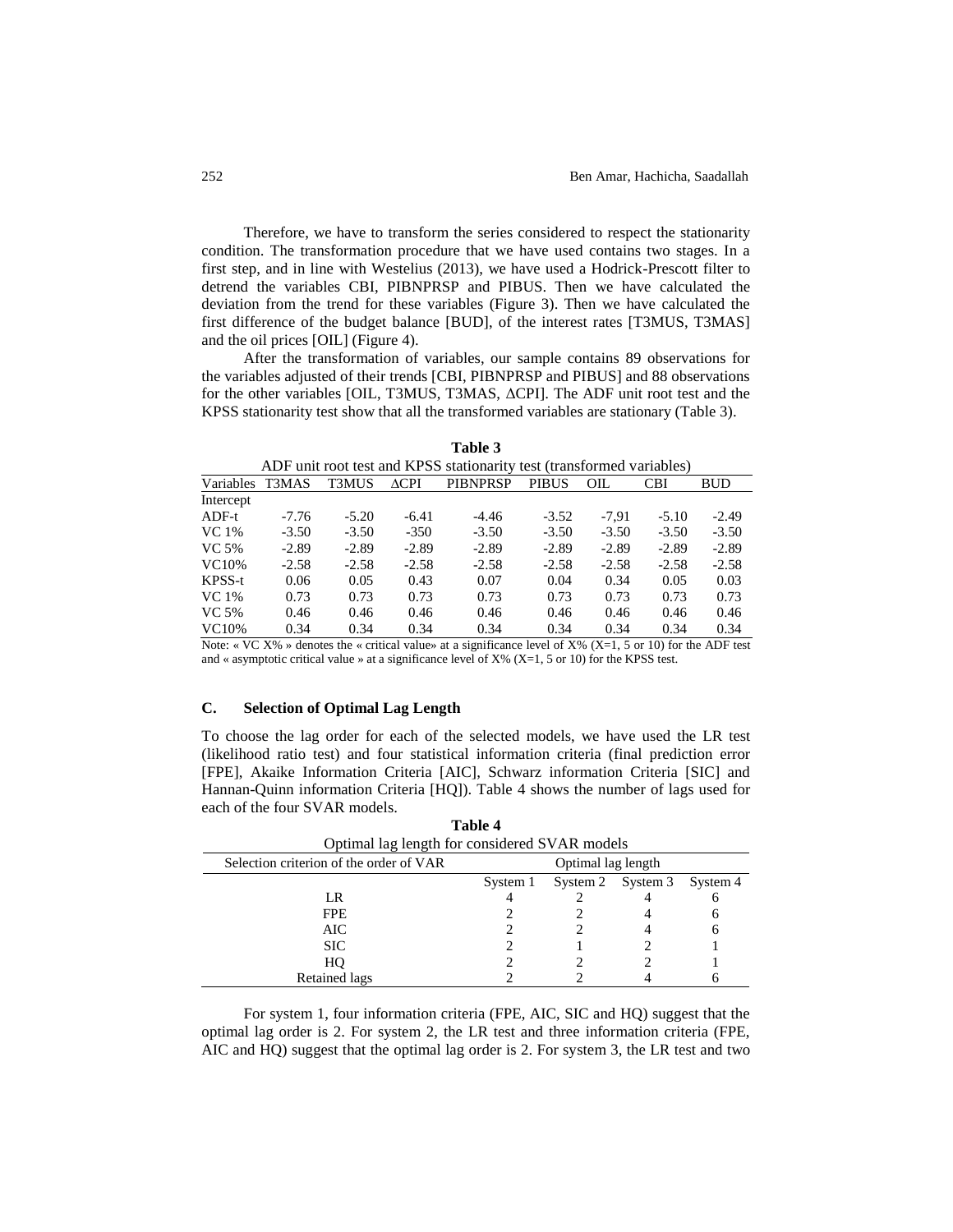Therefore, we have to transform the series considered to respect the stationarity condition. The transformation procedure that we have used contains two stages. In a first step, and in line with Westelius (2013), we have used a Hodrick-Prescott filter to detrend the variables CBI, PIBNPRSP and PIBUS. Then we have calculated the deviation from the trend for these variables (Figure 3). Then we have calculated the first difference of the budget balance [BUD], of the interest rates [T3MUS, T3MAS] and the oil prices [OIL] (Figure 4).

After the transformation of variables, our sample contains 89 observations for the variables adjusted of their trends [CBI, PIBNPRSP and PIBUS] and 88 observations for the other variables [OIL, T3MUS, T3MAS, ΔCPI]. The ADF unit root test and the KPSS stationarity test show that all the transformed variables are stationary (Table 3).

|           |         |              |                 | ADT unit foot test and Kr SS stationarity test (transformed variables)                                                                                                                                                                                                                           |              |         |            |            |
|-----------|---------|--------------|-----------------|--------------------------------------------------------------------------------------------------------------------------------------------------------------------------------------------------------------------------------------------------------------------------------------------------|--------------|---------|------------|------------|
| Variables | T3MAS   | <b>T3MUS</b> | $\triangle$ CPI | <b>PIBNPRSP</b>                                                                                                                                                                                                                                                                                  | <b>PIBUS</b> | OIL     | <b>CBI</b> | <b>BUD</b> |
| Intercept |         |              |                 |                                                                                                                                                                                                                                                                                                  |              |         |            |            |
| ADF-t     | $-7.76$ | $-5.20$      | $-6.41$         | $-4.46$                                                                                                                                                                                                                                                                                          | $-3.52$      | $-7.91$ | $-5.10$    | $-2.49$    |
| VC 1%     | $-3.50$ | $-3.50$      | $-350$          | $-3.50$                                                                                                                                                                                                                                                                                          | $-3.50$      | $-3.50$ | $-3.50$    | $-3.50$    |
| VC 5%     | $-2.89$ | $-2.89$      | $-2.89$         | $-2.89$                                                                                                                                                                                                                                                                                          | $-2.89$      | $-2.89$ | $-2.89$    | $-2.89$    |
| VC10\%    | $-2.58$ | $-2.58$      | $-2.58$         | $-2.58$                                                                                                                                                                                                                                                                                          | $-2.58$      | $-2.58$ | $-2.58$    | $-2.58$    |
| KPSS-t    | 0.06    | 0.05         | 0.43            | 0.07                                                                                                                                                                                                                                                                                             | 0.04         | 0.34    | 0.05       | 0.03       |
| VC 1%     | 0.73    | 0.73         | 0.73            | 0.73                                                                                                                                                                                                                                                                                             | 0.73         | 0.73    | 0.73       | 0.73       |
| VC 5%     | 0.46    | 0.46         | 0.46            | 0.46                                                                                                                                                                                                                                                                                             | 0.46         | 0.46    | 0.46       | 0.46       |
| VC10%     | 0.34    | 0.34         | 0.34            | 0.34                                                                                                                                                                                                                                                                                             | 0.34         | 0.34    | 0.34       | 0.34       |
|           |         |              |                 | $\mathbf{M}$ and $\mathbf{M}$ and $\mathbf{M}$ and $\mathbf{M}$ and $\mathbf{M}$ and $\mathbf{M}$ and $\mathbf{M}$ and $\mathbf{M}$ and $\mathbf{M}$ and $\mathbf{M}$ and $\mathbf{M}$ and $\mathbf{M}$ and $\mathbf{M}$ and $\mathbf{M}$ and $\mathbf{M}$ and $\mathbf{M}$ and $\mathbf{M}$ and |              |         |            |            |

| Table 3                                                               |  |
|-----------------------------------------------------------------------|--|
| ADF unit root test and KPSS stationarity test (transformed variables) |  |

Note: « VC X% » denotes the « critical value» at a significance level of X% (X=1, 5 or 10) for the ADF test and « asymptotic critical value » at a significance level of X% (X=1, 5 or 10) for the KPSS test.

## **C. Selection of Optimal Lag Length**

To choose the lag order for each of the selected models, we have used the LR test (likelihood ratio test) and four statistical information criteria (final prediction error [FPE], Akaike Information Criteria [AIC], Schwarz information Criteria [SIC] and Hannan-Quinn information Criteria [HQ]). Table 4 shows the number of lags used for each of the four SVAR models.

|                                         | тами т                                        |                    |                            |   |  |  |  |
|-----------------------------------------|-----------------------------------------------|--------------------|----------------------------|---|--|--|--|
|                                         | Optimal lag length for considered SVAR models |                    |                            |   |  |  |  |
| Selection criterion of the order of VAR |                                               | Optimal lag length |                            |   |  |  |  |
|                                         | System 1                                      |                    | System 2 System 3 System 4 |   |  |  |  |
| LR                                      |                                               |                    |                            | n |  |  |  |
| <b>FPE</b>                              |                                               |                    |                            | h |  |  |  |
| AIC                                     |                                               |                    |                            | 6 |  |  |  |
| <b>SIC</b>                              |                                               |                    |                            |   |  |  |  |
| HO                                      |                                               |                    |                            |   |  |  |  |
| <b>Retained lags</b>                    |                                               |                    |                            |   |  |  |  |

**Table 4**

For system 1, four information criteria (FPE, AIC, SIC and HQ) suggest that the optimal lag order is 2. For system 2, the LR test and three information criteria (FPE, AIC and HQ) suggest that the optimal lag order is 2. For system 3, the LR test and two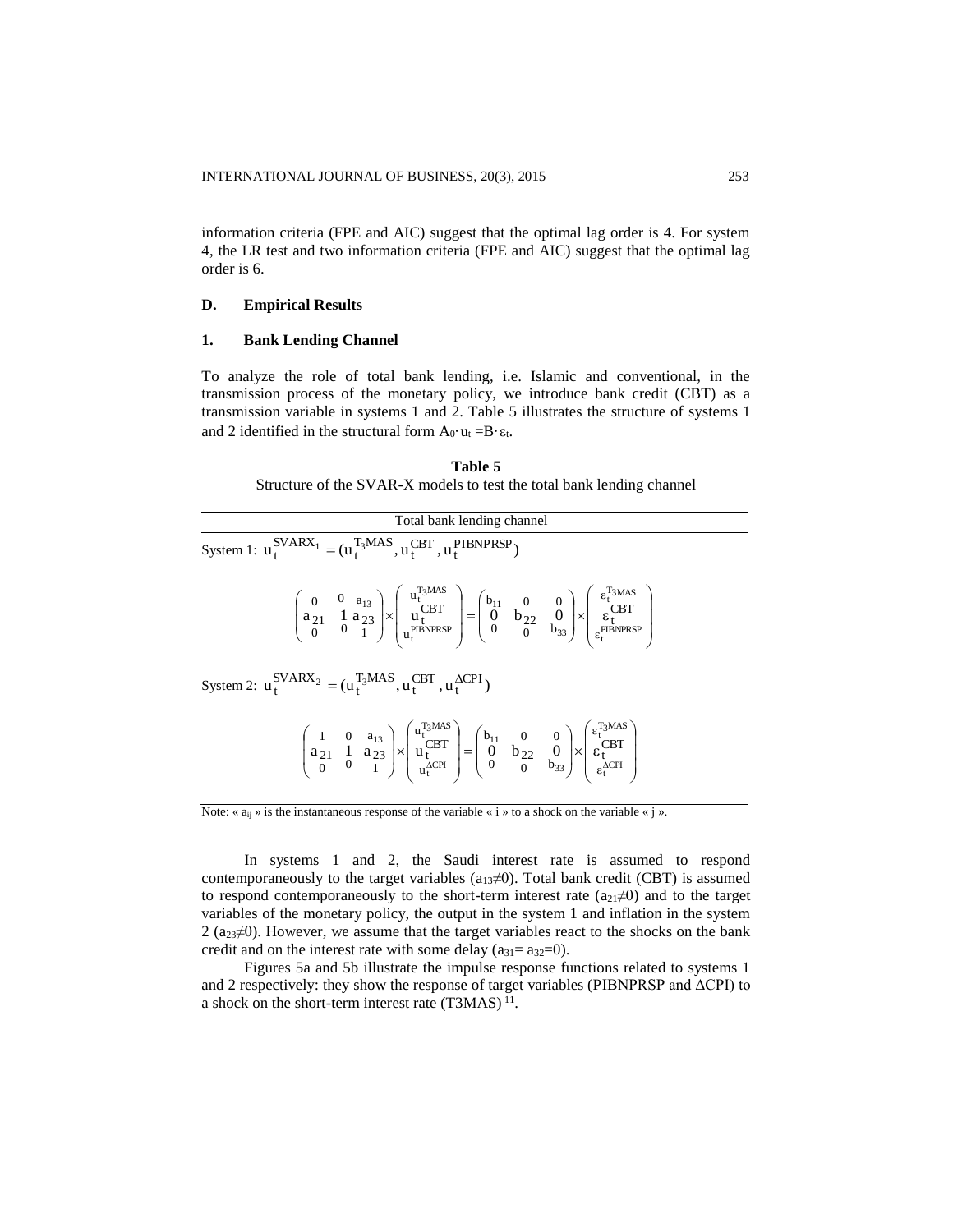information criteria (FPE and AIC) suggest that the optimal lag order is 4. For system 4, the LR test and two information criteria (FPE and AIC) suggest that the optimal lag order is 6.

## **D. Empirical Results**

# **1. Bank Lending Channel**

To analyze the role of total bank lending, i.e. Islamic and conventional, in the transmission process of the monetary policy, we introduce bank credit (CBT) as a transmission variable in systems 1 and 2. Table 5 illustrates the structure of systems 1 and 2 identified in the structural form  $A_0 \cdot u_t = B \cdot \varepsilon_t$ .

| Table 5                                                               |
|-----------------------------------------------------------------------|
| Structure of the SVAR-X models to test the total bank lending channel |

| Total bank lending channel                                                                                                                                                                                                                                                                                                                                                                                      |  |  |  |  |  |  |
|-----------------------------------------------------------------------------------------------------------------------------------------------------------------------------------------------------------------------------------------------------------------------------------------------------------------------------------------------------------------------------------------------------------------|--|--|--|--|--|--|
| System 1: $u_t^{SVARX_1} = (u_t^{T_3MAS}, u_t^{CBT}, u_t^{PIBNPRSP})$                                                                                                                                                                                                                                                                                                                                           |  |  |  |  |  |  |
| $\begin{pmatrix} 0 & 0 & a_{13} \\ a_{21} & 1 & a_{23} \\ 0 & 0 & 1 \end{pmatrix} \times \begin{pmatrix} u_t^{i_3,\text{mod}} \\ u_t^{CBT} \\ u_t^{PIBNPRSP} \end{pmatrix} = \begin{pmatrix} b_{11} & 0 & 0 \\ 0 & b_{22} & 0 \\ 0 & 0 & b_{33} \end{pmatrix} \times \begin{pmatrix} \varepsilon_t^{i_3 MAS} \\ \varepsilon_t^{CBT} \\ \varepsilon_t^{PIBNPRSP} \end{pmatrix}$                                  |  |  |  |  |  |  |
| System 2: $u_t^{\text{SVARX}_2} = (u_t^{\text{T}_3 \text{MAS}}, u_t^{\text{CBT}}, u_t^{\Delta \text{CPI}})$                                                                                                                                                                                                                                                                                                     |  |  |  |  |  |  |
| $\begin{pmatrix} 1 & 0 & a_{13} \\ a_{21} & 1 & a_{23} \\ 0 & 0 & 1 \end{pmatrix} \times \begin{pmatrix} u_1^{t_3 \text{ times}} \\ u_1^{\text{CBT}} \\ u_1^{\text{ACPI}} \end{pmatrix} = \begin{pmatrix} b_{11} & 0 & 0 \\ 0 & b_{22} & 0 \\ 0 & 0 & b_{33} \end{pmatrix} \times \begin{pmatrix} \varepsilon_1^{t_3 \text{ times}} \\ \varepsilon_1^{\text{CBT}} \\ \varepsilon_2^{\text{ACPI}} \end{pmatrix}$ |  |  |  |  |  |  |

Note: « $a_{ij}$ » is the instantaneous response of the variable « i » to a shock on the variable « j ».

In systems 1 and 2, the Saudi interest rate is assumed to respond contemporaneously to the target variables ( $a_{13}\neq 0$ ). Total bank credit (CBT) is assumed to respond contemporaneously to the short-term interest rate  $(a_{21}\neq 0)$  and to the target variables of the monetary policy, the output in the system 1 and inflation in the system  $2$  ( $a_{23} \neq 0$ ). However, we assume that the target variables react to the shocks on the bank credit and on the interest rate with some delay  $(a_{31}= a_{32}=0)$ .

Figures 5a and 5b illustrate the impulse response functions related to systems 1 and 2 respectively: they show the response of target variables (PIBNPRSP and  $\Delta$ CPI) to a shock on the short-term interest rate  $(T3MAS)^{11}$ .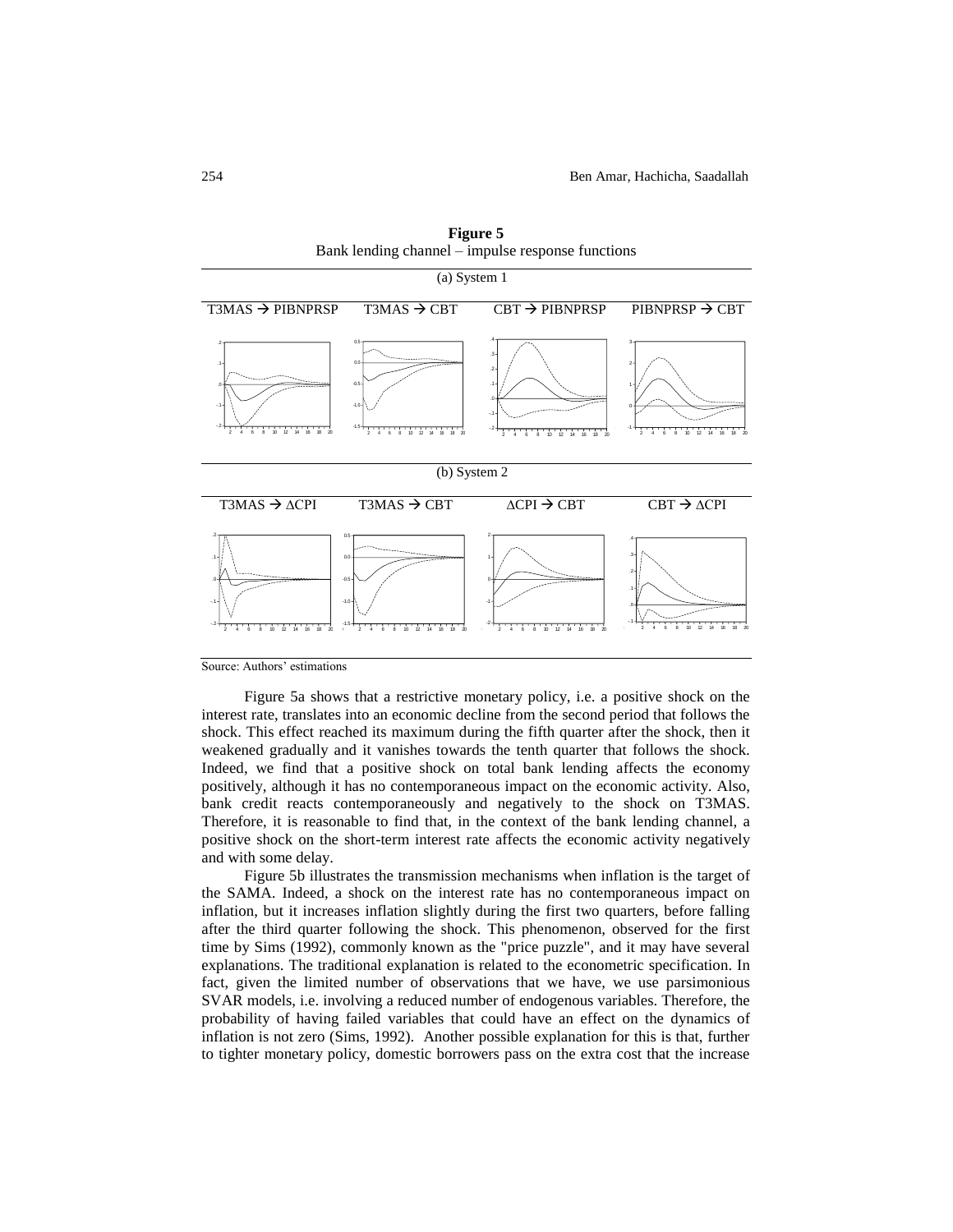| (a) System 1                                                                                                  |                                                                                              |                                                                                             |                                                       |  |  |  |  |
|---------------------------------------------------------------------------------------------------------------|----------------------------------------------------------------------------------------------|---------------------------------------------------------------------------------------------|-------------------------------------------------------|--|--|--|--|
| T3MAS $\rightarrow$ PIBNPRSP T3MAS $\rightarrow$ CBT                                                          |                                                                                              | $CBT \rightarrow$ PIBNPRSP                                                                  | PIBNPRSP $\rightarrow$ CBT                            |  |  |  |  |
| $\overline{1}$<br>$-1$<br>2 4 6 8 10 12 14 16<br>18<br>-20                                                    | 00<br>$-0.5$<br>$-1.0$<br>2 4<br>6<br>8<br>10<br>12<br>14<br>16                              | 8 10 12 14 16 18 20<br>$\overline{2}$<br>6<br>$\Lambda$                                     | 2<br>$\mathbf{2}$<br>R<br>$\mathbf{R}$<br>10          |  |  |  |  |
|                                                                                                               | (b) System 2                                                                                 |                                                                                             |                                                       |  |  |  |  |
| $T3MAS \rightarrow \Delta CPI$                                                                                | $T3MAS \rightarrow CBT$                                                                      | $\triangle$ CPI $\rightarrow$ CBT                                                           | $CBT \rightarrow \Delta CPI$                          |  |  |  |  |
| n s<br>0.0<br>-1<br>$-0.5$<br>$\Omega$<br>$-1.0$<br>$-1$<br>$18 \quad 20$<br>2 4 6 8 10 12 14 16<br>$\lambda$ | 18 20<br>$2^{\circ}4$<br>10 <sup>10</sup><br>12<br>$\overline{\phantom{a}}$<br>14<br>16<br>6 | 14<br>16<br>18 20<br>$\overline{2}$<br>6<br>8<br>10<br>12<br>$\mathbf{L}$<br>$\overline{4}$ | $\cdot$<br>$\cdot$ 1<br>$\mathcal{P}$<br>$\mathbf{R}$ |  |  |  |  |

**Figure 5** Bank lending channel – impulse response functions

Source: Authors' estimations

Figure 5a shows that a restrictive monetary policy, i.e. a positive shock on the interest rate, translates into an economic decline from the second period that follows the shock. This effect reached its maximum during the fifth quarter after the shock, then it weakened gradually and it vanishes towards the tenth quarter that follows the shock. Indeed, we find that a positive shock on total bank lending affects the economy positively, although it has no contemporaneous impact on the economic activity. Also, bank credit reacts contemporaneously and negatively to the shock on T3MAS. Therefore, it is reasonable to find that, in the context of the bank lending channel, a positive shock on the short-term interest rate affects the economic activity negatively and with some delay.

Figure 5b illustrates the transmission mechanisms when inflation is the target of the SAMA. Indeed, a shock on the interest rate has no contemporaneous impact on inflation, but it increases inflation slightly during the first two quarters, before falling after the third quarter following the shock. This phenomenon, observed for the first time by Sims (1992), commonly known as the "price puzzle", and it may have several explanations. The traditional explanation is related to the econometric specification. In fact, given the limited number of observations that we have, we use parsimonious SVAR models, i.e. involving a reduced number of endogenous variables. Therefore, the probability of having failed variables that could have an effect on the dynamics of inflation is not zero (Sims, 1992). Another possible explanation for this is that, further to tighter monetary policy, domestic borrowers pass on the extra cost that the increase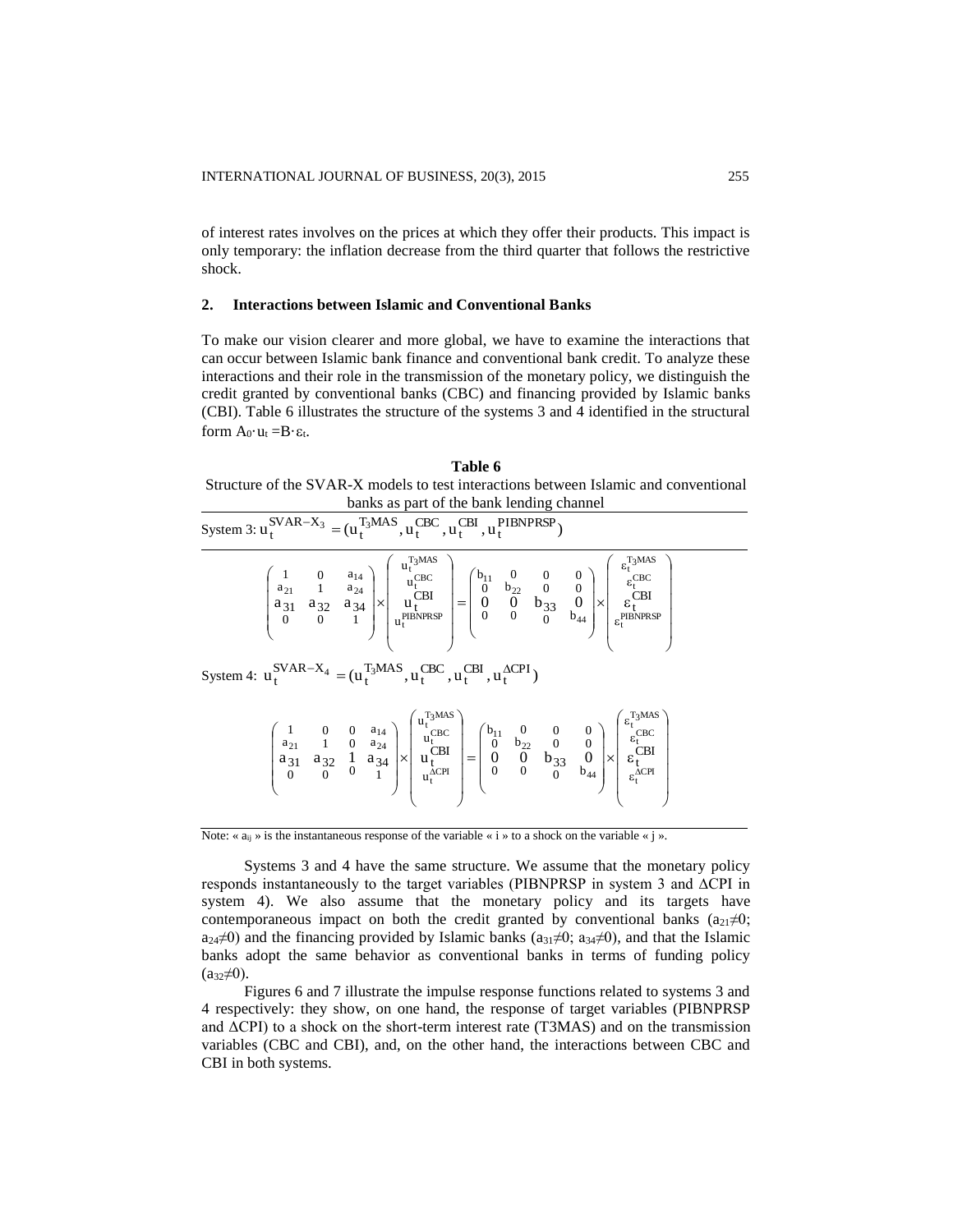of interest rates involves on the prices at which they offer their products. This impact is only temporary: the inflation decrease from the third quarter that follows the restrictive shock.

#### **2. Interactions between Islamic and Conventional Banks**

To make our vision clearer and more global, we have to examine the interactions that can occur between Islamic bank finance and conventional bank credit. To analyze these interactions and their role in the transmission of the monetary policy, we distinguish the credit granted by conventional banks (CBC) and financing provided by Islamic banks (CBI). Table 6 illustrates the structure of the systems 3 and 4 identified in the structural form  $A_0 \cdot u_t = B \cdot \varepsilon_t$ .

**Table 6** Structure of the SVAR-X models to test interactions between Islamic and conventional banks as part of the bank lending channel

| m 3: u7                                      | $\mathbf{u}_{t}^{\text{SVAR}-\text{X}_3} = (\mathbf{u}_{t}^{\text{T}_3 \text{MAS}}, \mathbf{u}_{t}^{\text{CBC}}, \mathbf{u}_{t}^{\text{CBI}}, \mathbf{u}_{t}^{\text{PIBNPRSP}})$ |                                                              |                                                    |                                                                                                                                         |
|----------------------------------------------|----------------------------------------------------------------------------------------------------------------------------------------------------------------------------------|--------------------------------------------------------------|----------------------------------------------------|-----------------------------------------------------------------------------------------------------------------------------------------|
| $a_{21}$<br>$a_{31}$<br>$a_{32}$<br>$\theta$ | $u_t^{T_3MAS}$<br>$a_{14}$<br>$u_t^{\text{CBC}}$<br>$a_{24}$<br><b>CBI</b><br>$\times$<br>$\mathbf{u}_i$<br>$a_{34}$<br><b>PIBNPRSP</b><br>$u_t$                                 | $P_{11}$<br>0<br>$b_{22}$<br>O<br>$=$<br>$\overline{0}$<br>0 | $b_{33}$<br>$\times$<br>$b_{44}$<br>$\overline{0}$ | $\epsilon_t^{T_3MAS}$<br>$\epsilon_{t}^{\text{CBC}}$<br><b>CBI</b><br>$\varepsilon_{\star}$<br><b>PIBNPRSP</b><br>$\varepsilon_{\rm f}$ |

$$
\text{System 4: } u_t^{\text{SVAR}-X_4} = (u_t^{\text{T}_3 \text{MAS}}, u_t^{\text{CBC}}, u_t^{\text{CBI}}, u_t^{\Delta \text{CPI}})
$$

Syste:

| $a_{21}$<br>a,<br>a | - | $a_{14}$<br>$a_{24}$<br>$\times$<br>$a_{34}$ | T <sub>3</sub> MAS<br>$u_{\star}$<br>CBC<br>u<br><b>CBI</b><br>u<br>$\triangle$ CPI<br>$u_{\tau}$ | 0<br>- | b <sub>oo</sub> | $\sim$<br>99 | $b_{44}$ | $\epsilon_{t}^{\text{T}_{3} \text{MAS}}$<br>CBC<br>ε,<br>CBI<br>o<br>$\triangle$ CPI<br>$\varepsilon_{\rm t}^-$ |
|---------------------|---|----------------------------------------------|---------------------------------------------------------------------------------------------------|--------|-----------------|--------------|----------|-----------------------------------------------------------------------------------------------------------------|
|---------------------|---|----------------------------------------------|---------------------------------------------------------------------------------------------------|--------|-----------------|--------------|----------|-----------------------------------------------------------------------------------------------------------------|

Note: « $a_{ij}$ » is the instantaneous response of the variable « i » to a shock on the variable « j ».

Systems 3 and 4 have the same structure. We assume that the monetary policy responds instantaneously to the target variables (PIBNPRSP in system 3 and ∆CPI in system 4). We also assume that the monetary policy and its targets have contemporaneous impact on both the credit granted by conventional banks  $(a_{21}\neq 0;$  $a_{24}\neq 0$ ) and the financing provided by Islamic banks ( $a_{31}\neq 0$ ;  $a_{34}\neq 0$ ), and that the Islamic banks adopt the same behavior as conventional banks in terms of funding policy  $(a_{32} \neq 0)$ .

Figures 6 and 7 illustrate the impulse response functions related to systems 3 and 4 respectively: they show, on one hand, the response of target variables (PIBNPRSP and  $\Delta$ CPI) to a shock on the short-term interest rate (T3MAS) and on the transmission variables (CBC and CBI), and, on the other hand, the interactions between CBC and CBI in both systems.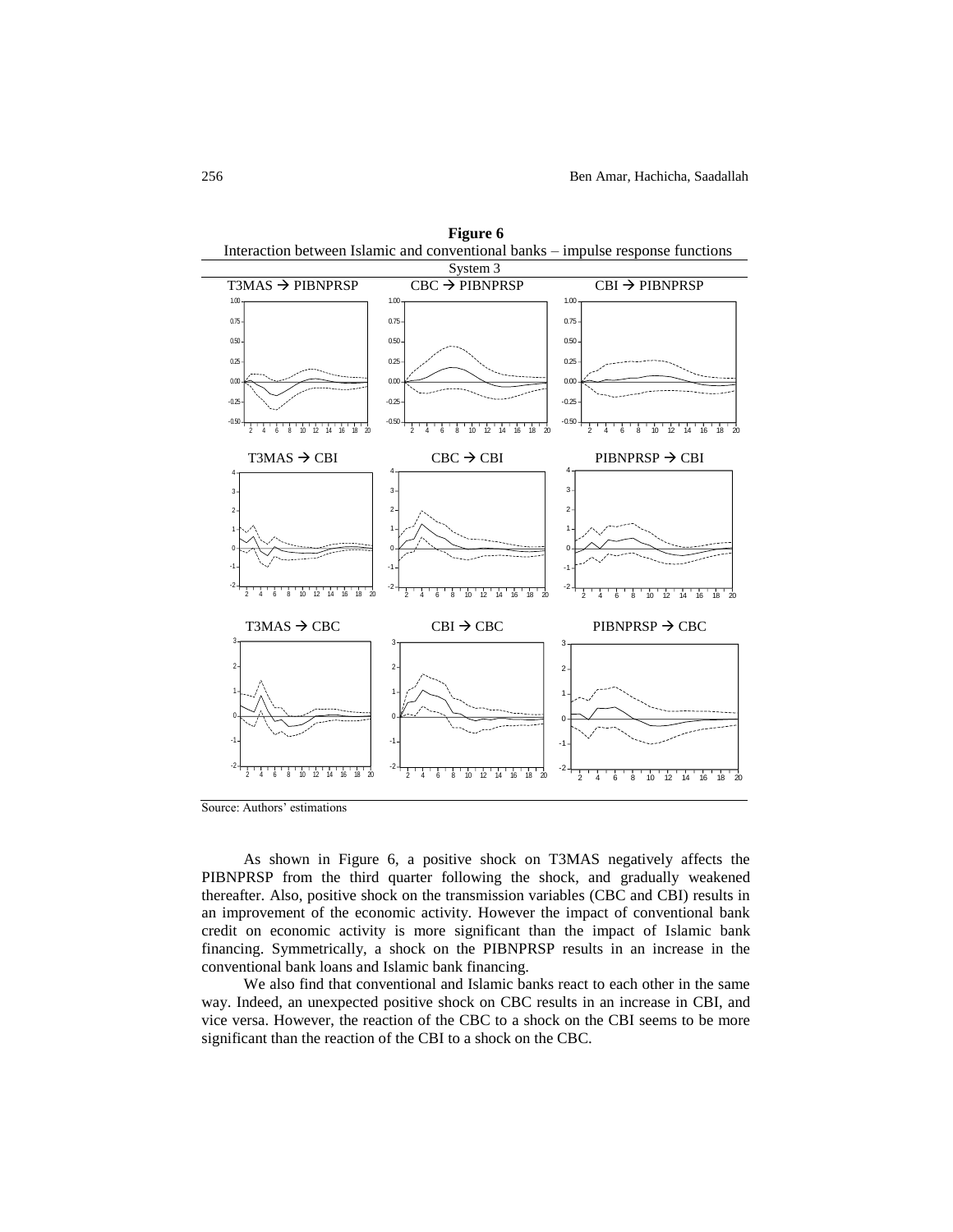

Source: Authors' estimations

As shown in Figure 6, a positive shock on T3MAS negatively affects the PIBNPRSP from the third quarter following the shock, and gradually weakened thereafter. Also, positive shock on the transmission variables (CBC and CBI) results in an improvement of the economic activity. However the impact of conventional bank credit on economic activity is more significant than the impact of Islamic bank financing. Symmetrically, a shock on the PIBNPRSP results in an increase in the conventional bank loans and Islamic bank financing.

We also find that conventional and Islamic banks react to each other in the same way. Indeed, an unexpected positive shock on CBC results in an increase in CBI, and vice versa. However, the reaction of the CBC to a shock on the CBI seems to be more significant than the reaction of the CBI to a shock on the CBC.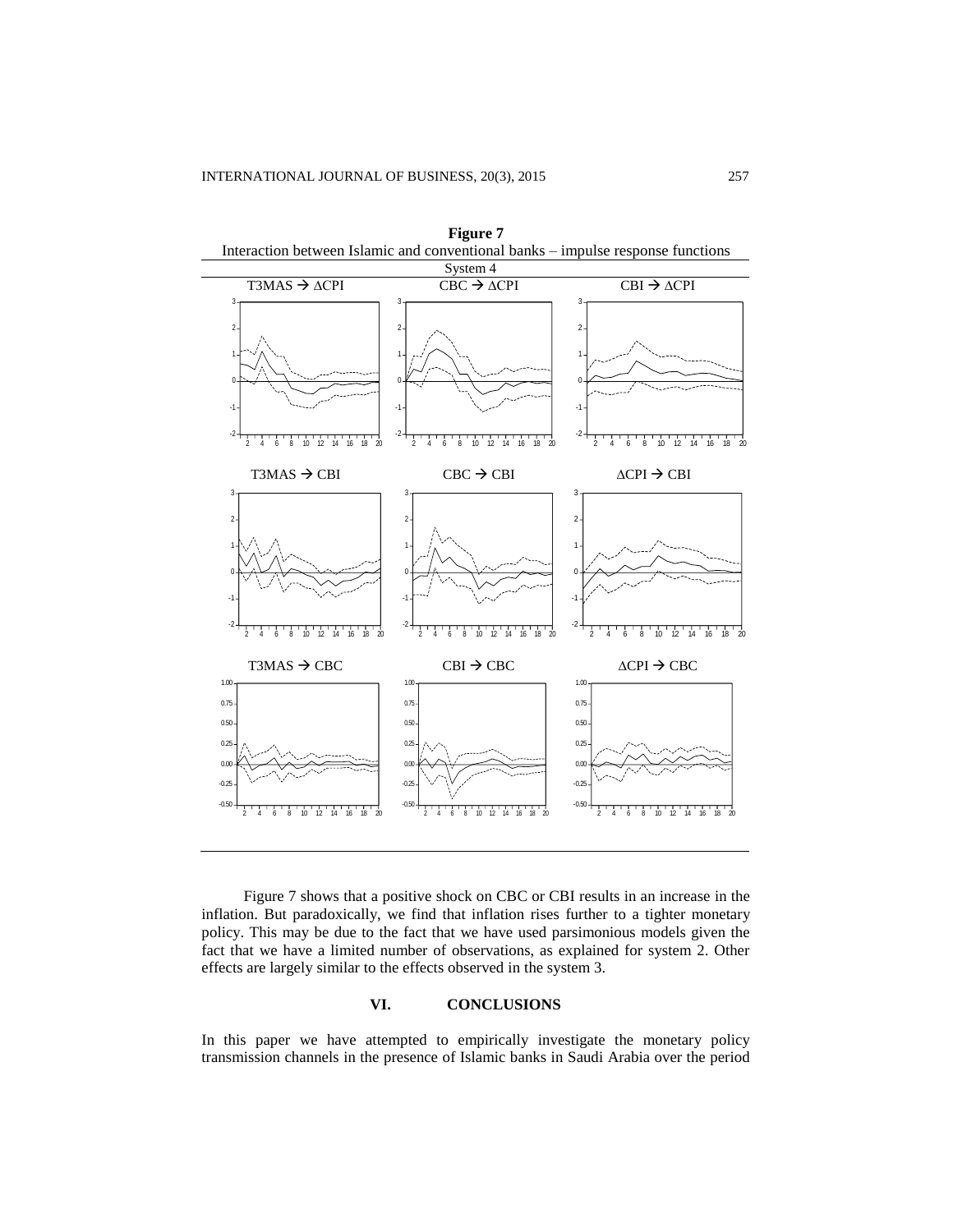

Figure 7 shows that a positive shock on CBC or CBI results in an increase in the inflation. But paradoxically, we find that inflation rises further to a tighter monetary policy. This may be due to the fact that we have used parsimonious models given the fact that we have a limited number of observations, as explained for system 2. Other effects are largely similar to the effects observed in the system 3.

## **VI. CONCLUSIONS**

In this paper we have attempted to empirically investigate the monetary policy transmission channels in the presence of Islamic banks in Saudi Arabia over the period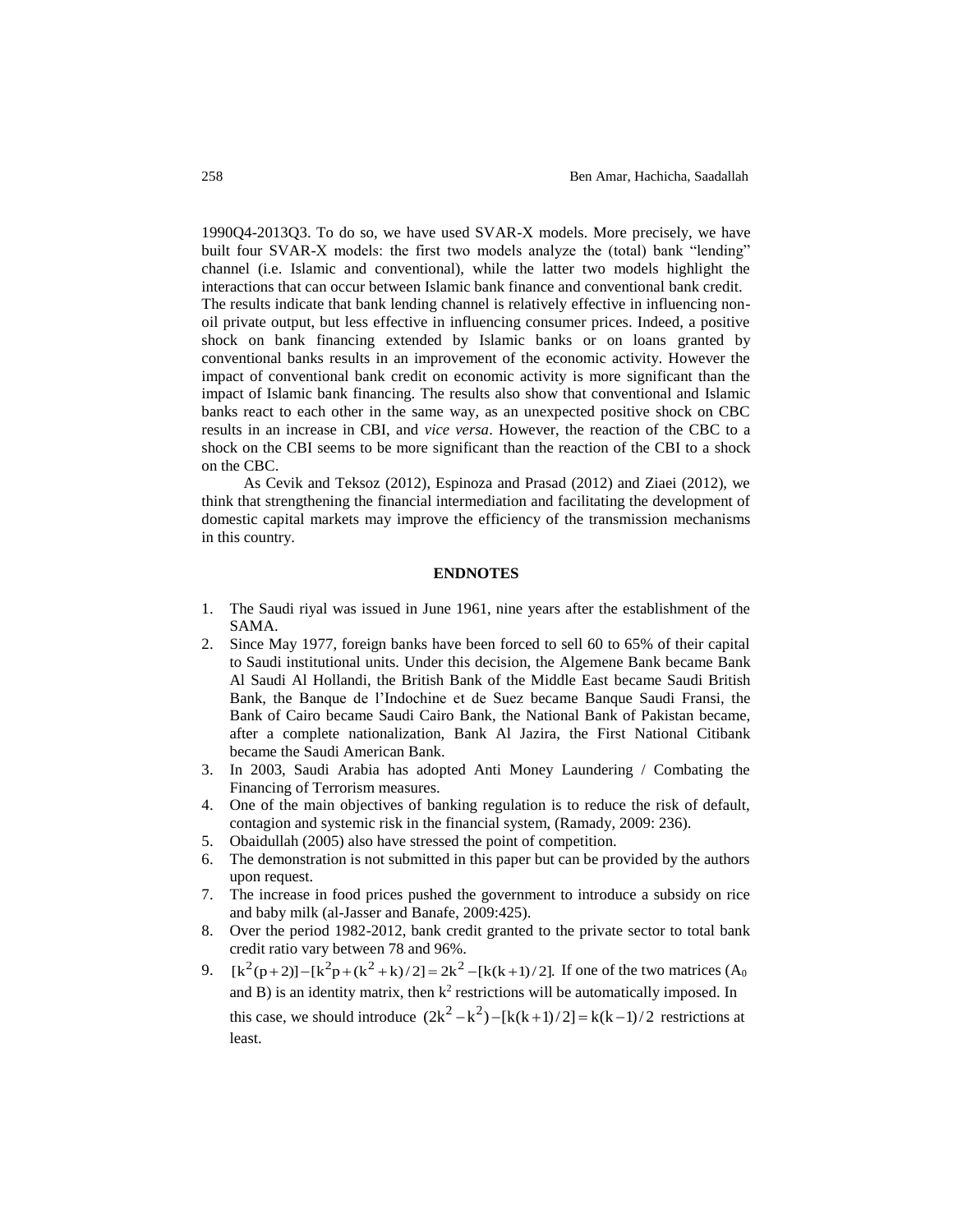1990Q4-2013Q3. To do so, we have used SVAR-X models. More precisely, we have built four SVAR-X models: the first two models analyze the (total) bank "lending" channel (i.e. Islamic and conventional), while the latter two models highlight the interactions that can occur between Islamic bank finance and conventional bank credit. The results indicate that bank lending channel is relatively effective in influencing nonoil private output, but less effective in influencing consumer prices. Indeed, a positive shock on bank financing extended by Islamic banks or on loans granted by conventional banks results in an improvement of the economic activity. However the impact of conventional bank credit on economic activity is more significant than the impact of Islamic bank financing. The results also show that conventional and Islamic banks react to each other in the same way, as an unexpected positive shock on CBC results in an increase in CBI, and *vice versa*. However, the reaction of the CBC to a shock on the CBI seems to be more significant than the reaction of the CBI to a shock on the CBC.

As Cevik and Teksoz (2012), Espinoza and Prasad (2012) and Ziaei (2012), we think that strengthening the financial intermediation and facilitating the development of domestic capital markets may improve the efficiency of the transmission mechanisms in this country.

## **ENDNOTES**

- 1. The Saudi riyal was issued in June 1961, nine years after the establishment of the SAMA.
- 2. Since May 1977, foreign banks have been forced to sell 60 to 65% of their capital to Saudi institutional units. Under this decision, the Algemene Bank became Bank Al Saudi Al Hollandi, the British Bank of the Middle East became Saudi British Bank, the Banque de l'Indochine et de Suez became Banque Saudi Fransi, the Bank of Cairo became Saudi Cairo Bank, the National Bank of Pakistan became, after a complete nationalization, Bank Al Jazira, the First National Citibank became the Saudi American Bank.
- 3. In 2003, Saudi Arabia has adopted Anti Money Laundering / Combating the Financing of Terrorism measures.
- 4. One of the main objectives of banking regulation is to reduce the risk of default, contagion and systemic risk in the financial system, (Ramady, 2009: 236).
- 5. Obaidullah (2005) also have stressed the point of competition.
- 6. The demonstration is not submitted in this paper but can be provided by the authors upon request.
- 7. The increase in food prices pushed the government to introduce a subsidy on rice and baby milk (al-Jasser and Banafe, 2009:425).
- 8. Over the period 1982-2012, bank credit granted to the private sector to total bank credit ratio vary between 78 and 96%.
- 9.  $[k^2(p+2)] [k^2p + (k^2 + k)/2] = 2k^2 [k(k+1)/2]$ . If one of the two matrices  $(A_0)$ and B) is an identity matrix, then  $k^2$  restrictions will be automatically imposed. In this case, we should introduce  $(2k^2 - k^2) - [k(k+1)/2] = k(k-1)/2$  restrictions at least.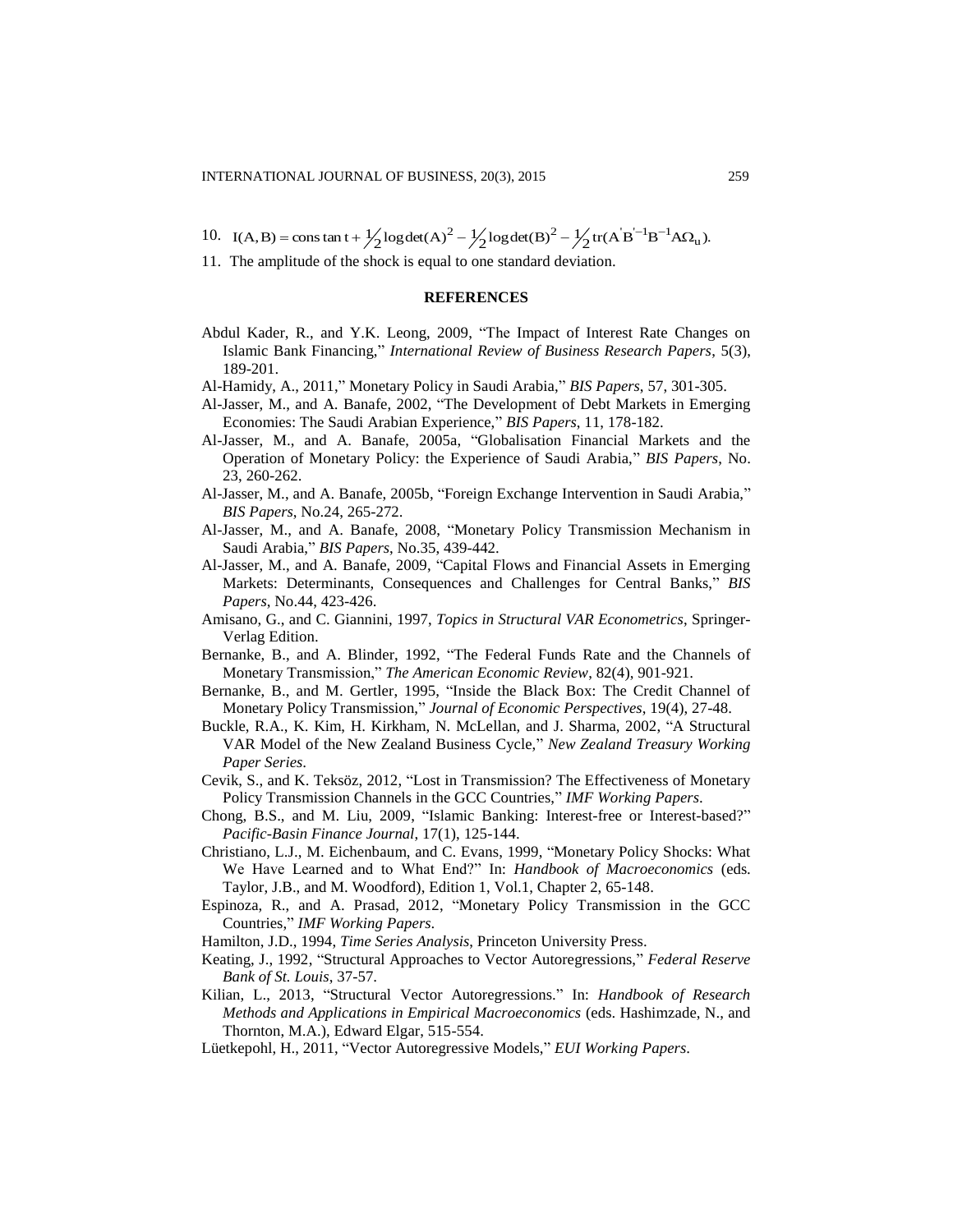- 10.  $I(A, B) = \text{const} \tan t + \frac{1}{2} \log \det(A)^2 \frac{1}{2} \log \det(B)^2 \frac{1}{2} \text{tr}(A'B^{-1}B^{-1}A\Omega_u).$
- 11. The amplitude of the shock is equal to one standard deviation.

## **REFERENCES**

- Abdul Kader, R., and Y.K. Leong, 2009, "The Impact of Interest Rate Changes on Islamic Bank Financing," *International Review of Business Research Papers*, 5(3), 189-201.
- Al-Hamidy, A., 2011," Monetary Policy in Saudi Arabia," *BIS Papers*, 57, 301-305.
- Al-Jasser, M., and A. Banafe, 2002, "The Development of Debt Markets in Emerging Economies: The Saudi Arabian Experience," *BIS Papers*, 11, 178-182.
- Al-Jasser, M., and A. Banafe, 2005a, "Globalisation Financial Markets and the Operation of Monetary Policy: the Experience of Saudi Arabia," *BIS Papers*, No. 23, 260-262.
- Al-Jasser, M., and A. Banafe, 2005b, "Foreign Exchange Intervention in Saudi Arabia," *BIS Papers*, No.24, 265-272.
- Al-Jasser, M., and A. Banafe, 2008, "Monetary Policy Transmission Mechanism in Saudi Arabia," *BIS Papers*, No.35, 439-442.
- Al-Jasser, M., and A. Banafe, 2009, "Capital Flows and Financial Assets in Emerging Markets: Determinants, Consequences and Challenges for Central Banks," *BIS Papers*, No.44, 423-426.
- Amisano, G., and C. Giannini, 1997, *Topics in Structural VAR Econometrics*, Springer-Verlag Edition.
- Bernanke, B., and A. Blinder, 1992, "The Federal Funds Rate and the Channels of Monetary Transmission," *The American Economic Review*, 82(4), 901-921.
- Bernanke, B., and M. Gertler, 1995, "Inside the Black Box: The Credit Channel of Monetary Policy Transmission," *Journal of Economic Perspectives*, 19(4), 27-48.
- Buckle, R.A., K. Kim, H. Kirkham, N. McLellan, and J. Sharma, 2002, "A Structural VAR Model of the New Zealand Business Cycle," *New Zealand Treasury Working Paper Series*.
- Cevik, S., and K. Teksöz, 2012, "Lost in Transmission? The Effectiveness of Monetary Policy Transmission Channels in the GCC Countries," *IMF Working Papers*.
- Chong, B.S., and M. Liu, 2009, "Islamic Banking: Interest-free or Interest-based?" *Pacific-Basin Finance Journal*, 17(1), 125-144.
- Christiano, L.J., M. Eichenbaum, and C. Evans, 1999, "Monetary Policy Shocks: What We Have Learned and to What End?" In: *Handbook of Macroeconomics* (eds. Taylor, J.B., and M. Woodford), Edition 1, Vol.1, Chapter 2, 65-148.
- Espinoza, R., and A. Prasad, 2012, "Monetary Policy Transmission in the GCC Countries," *IMF Working Papers*.
- Hamilton, J.D., 1994, *Time Series Analysis*, Princeton University Press.
- Keating, J., 1992, "Structural Approaches to Vector Autoregressions," *Federal Reserve Bank of St. Louis*, 37-57.
- Kilian, L., 2013, "Structural Vector Autoregressions." In: *Handbook of Research Methods and Applications in Empirical Macroeconomics* (eds. Hashimzade, N., and Thornton, M.A.), Edward Elgar, 515-554.
- Lüetkepohl, H., 2011, "Vector Autoregressive Models," *EUI Working Papers*.